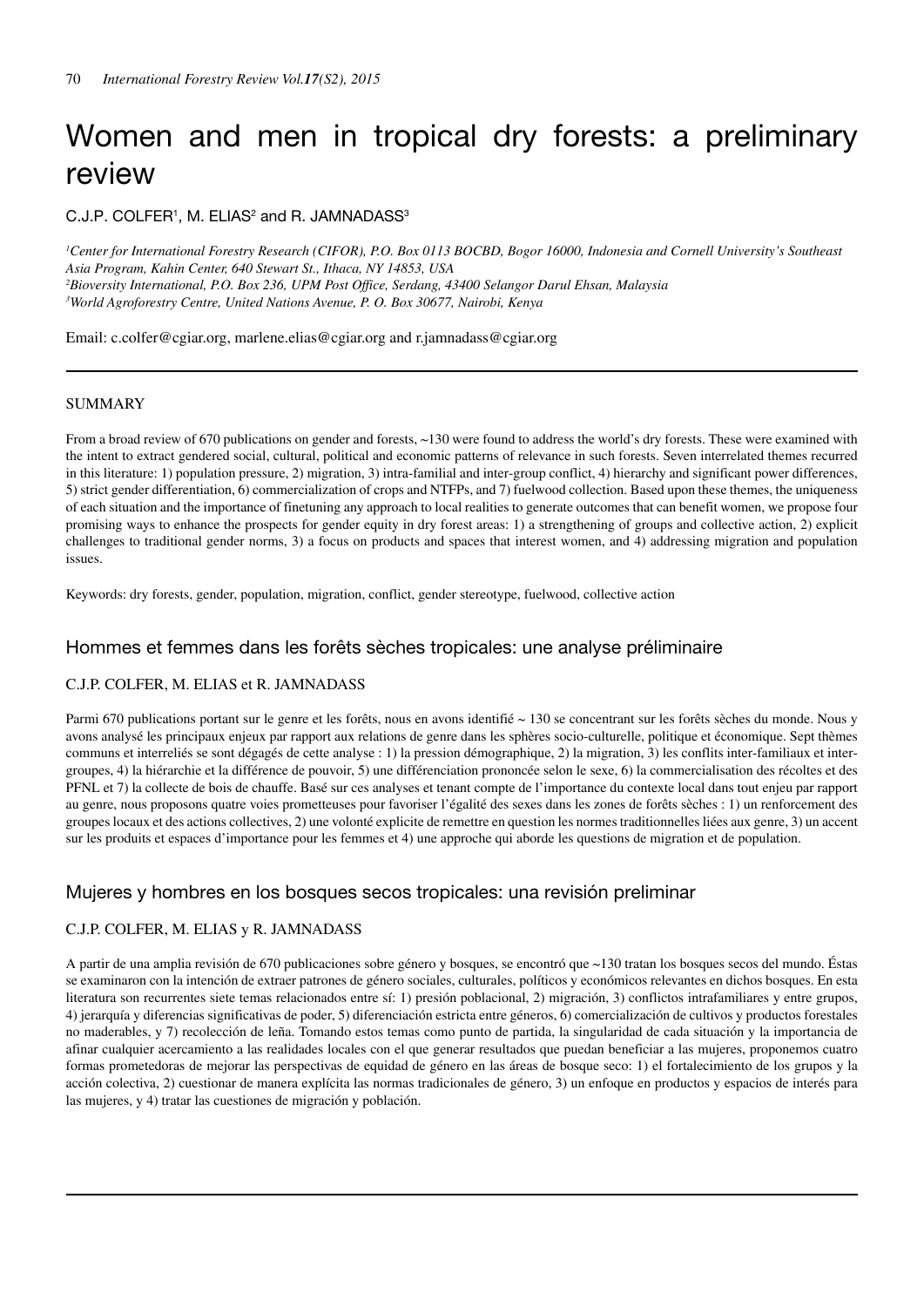# Women and men in tropical dry forests: a preliminary review

 $C.J.P. COLFER<sup>1</sup>, M. ELIAS<sup>2</sup> and R. JAMNADASS<sup>3</sup>$ 

 *Center for International Forestry Research (CIFOR), P.O. Box 0113 BOCBD, Bogor 16000, Indonesia and Cornell University's Southeast Asia Program, Kahin Center, 640 Stewart St., Ithaca, NY 14853, USA Bioversity International, P.O. Box 236, UPM Post Office, Serdang, 43400 Selangor Darul Ehsan, Malaysia World Agroforestry Centre, United Nations Avenue, P. O. Box 30677, Nairobi, Kenya*

Email: c.colfer@cgiar.org, marlene.elias@cgiar.org and r.jamnadass@cgiar.org

#### **SUMMARY**

From a broad review of 670 publications on gender and forests, ~130 were found to address the world's dry forests. These were examined with the intent to extract gendered social, cultural, political and economic patterns of relevance in such forests. Seven interrelated themes recurred in this literature: 1) population pressure, 2) migration, 3) intra-familial and inter-group conflict, 4) hierarchy and significant power differences, 5) strict gender differentiation, 6) commercialization of crops and NTFPs, and 7) fuelwood collection. Based upon these themes, the uniqueness of each situation and the importance of finetuning any approach to local realities to generate outcomes that can benefit women, we propose four promising ways to enhance the prospects for gender equity in dry forest areas: 1) a strengthening of groups and collective action, 2) explicit challenges to traditional gender norms, 3) a focus on products and spaces that interest women, and 4) addressing migration and population issues.

Keywords: dry forests, gender, population, migration, conflict, gender stereotype, fuelwood, collective action

# Hommes et femmes dans les forêts sèches tropicales: une analyse préliminaire

# C.J.P. COLFER, M. ELIAS et R. JAMNADASS

Parmi 670 publications portant sur le genre et les forêts, nous en avons identifié ~ 130 se concentrant sur les forêts sèches du monde. Nous y avons analysé les principaux enjeux par rapport aux relations de genre dans les sphères socio-culturelle, politique et économique. Sept thèmes communs et interreliés se sont dégagés de cette analyse : 1) la pression démographique, 2) la migration, 3) les conflits inter-familiaux et intergroupes, 4) la hiérarchie et la différence de pouvoir, 5) une différenciation prononcée selon le sexe, 6) la commercialisation des récoltes et des PFNL et 7) la collecte de bois de chauffe. Basé sur ces analyses et tenant compte de l'importance du contexte local dans tout enjeu par rapport au genre, nous proposons quatre voies prometteuses pour favoriser l'égalité des sexes dans les zones de forêts sèches : 1) un renforcement des groupes locaux et des actions collectives, 2) une volonté explicite de remettre en question les normes traditionnelles liées aux genre, 3) un accent sur les produits et espaces d'importance pour les femmes et 4) une approche qui aborde les questions de migration et de population.

# Mujeres y hombres en los bosques secos tropicales: una revisión preliminar

# C.J.P. COLFER, M. ELIAS y R. JAMNADASS

A partir de una amplia revisión de 670 publicaciones sobre género y bosques, se encontró que ~130 tratan los bosques secos del mundo. Éstas se examinaron con la intención de extraer patrones de género sociales, culturales, políticos y económicos relevantes en dichos bosques. En esta literatura son recurrentes siete temas relacionados entre sí: 1) presión poblacional, 2) migración, 3) conflictos intrafamiliares y entre grupos, 4) jerarquía y diferencias significativas de poder, 5) diferenciación estricta entre géneros, 6) comercialización de cultivos y productos forestales no maderables, y 7) recolección de leña. Tomando estos temas como punto de partida, la singularidad de cada situación y la importancia de afinar cualquier acercamiento a las realidades locales con el que generar resultados que puedan beneficiar a las mujeres, proponemos cuatro formas prometedoras de mejorar las perspectivas de equidad de género en las áreas de bosque seco: 1) el fortalecimiento de los grupos y la acción colectiva, 2) cuestionar de manera explícita las normas tradicionales de género, 3) un enfoque en productos y espacios de interés para las mujeres, y 4) tratar las cuestiones de migración y población.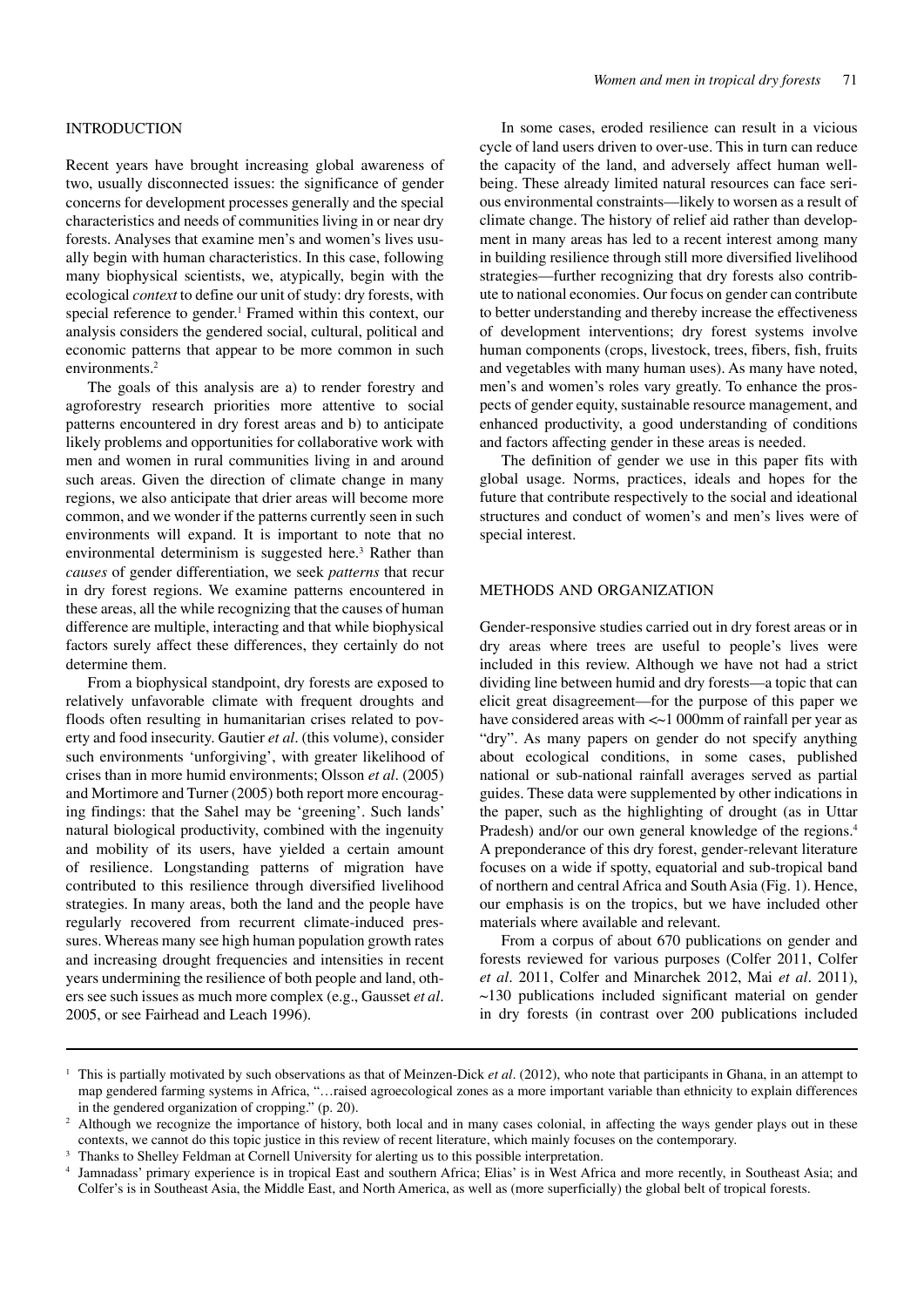#### INTRODUCTION

Recent years have brought increasing global awareness of two, usually disconnected issues: the significance of gender concerns for development processes generally and the special characteristics and needs of communities living in or near dry forests. Analyses that examine men's and women's lives usually begin with human characteristics. In this case, following many biophysical scientists, we, atypically, begin with the ecological *context* to define our unit of study: dry forests, with special reference to gender.<sup>1</sup> Framed within this context, our analysis considers the gendered social, cultural, political and economic patterns that appear to be more common in such environments.<sup>2</sup>

The goals of this analysis are a) to render forestry and agroforestry research priorities more attentive to social patterns encountered in dry forest areas and b) to anticipate likely problems and opportunities for collaborative work with men and women in rural communities living in and around such areas. Given the direction of climate change in many regions, we also anticipate that drier areas will become more common, and we wonder if the patterns currently seen in such environments will expand. It is important to note that no environmental determinism is suggested here.<sup>3</sup> Rather than *causes* of gender differentiation, we seek *patterns* that recur in dry forest regions. We examine patterns encountered in these areas, all the while recognizing that the causes of human difference are multiple, interacting and that while biophysical factors surely affect these differences, they certainly do not determine them.

From a biophysical standpoint, dry forests are exposed to relatively unfavorable climate with frequent droughts and floods often resulting in humanitarian crises related to poverty and food insecurity. Gautier *et al*. (this volume), consider such environments 'unforgiving', with greater likelihood of crises than in more humid environments; Olsson *et al*. (2005) and Mortimore and Turner (2005) both report more encouraging findings: that the Sahel may be 'greening'. Such lands' natural biological productivity, combined with the ingenuity and mobility of its users, have yielded a certain amount of resilience. Longstanding patterns of migration have contributed to this resilience through diversified livelihood strategies. In many areas, both the land and the people have regularly recovered from recurrent climate-induced pressures. Whereas many see high human population growth rates and increasing drought frequencies and intensities in recent years undermining the resilience of both people and land, others see such issues as much more complex (e.g., Gausset *et al*. 2005, or see Fairhead and Leach 1996).

In some cases, eroded resilience can result in a vicious cycle of land users driven to over-use. This in turn can reduce the capacity of the land, and adversely affect human wellbeing. These already limited natural resources can face serious environmental constraints—likely to worsen as a result of climate change. The history of relief aid rather than development in many areas has led to a recent interest among many in building resilience through still more diversified livelihood strategies—further recognizing that dry forests also contribute to national economies. Our focus on gender can contribute to better understanding and thereby increase the effectiveness of development interventions; dry forest systems involve human components (crops, livestock, trees, fibers, fish, fruits and vegetables with many human uses). As many have noted, men's and women's roles vary greatly. To enhance the prospects of gender equity, sustainable resource management, and enhanced productivity, a good understanding of conditions and factors affecting gender in these areas is needed.

The definition of gender we use in this paper fits with global usage. Norms, practices, ideals and hopes for the future that contribute respectively to the social and ideational structures and conduct of women's and men's lives were of special interest.

# METHODS AND ORGANIZATION

Gender-responsive studies carried out in dry forest areas or in dry areas where trees are useful to people's lives were included in this review. Although we have not had a strict dividing line between humid and dry forests—a topic that can elicit great disagreement—for the purpose of this paper we have considered areas with  $\ll$  1 000mm of rainfall per year as "dry". As many papers on gender do not specify anything about ecological conditions, in some cases, published national or sub-national rainfall averages served as partial guides. These data were supplemented by other indications in the paper, such as the highlighting of drought (as in Uttar Pradesh) and/or our own general knowledge of the regions.4 A preponderance of this dry forest, gender-relevant literature focuses on a wide if spotty, equatorial and sub-tropical band of northern and central Africa and South Asia (Fig. 1). Hence, our emphasis is on the tropics, but we have included other materials where available and relevant.

From a corpus of about 670 publications on gender and forests reviewed for various purposes (Colfer 2011, Colfer *et al*. 2011, Colfer and Minarchek 2012, Mai *et al*. 2011), ~130 publications included significant material on gender in dry forests (in contrast over 200 publications included

<sup>&</sup>lt;sup>1</sup> This is partially motivated by such observations as that of Meinzen-Dick *et al.* (2012), who note that participants in Ghana, in an attempt to map gendered farming systems in Africa, "…raised agroecological zones as a more important variable than ethnicity to explain differences in the gendered organization of cropping." (p. 20).

<sup>&</sup>lt;sup>2</sup> Although we recognize the importance of history, both local and in many cases colonial, in affecting the ways gender plays out in these contexts, we cannot do this topic justice in this review of recent literature, which mainly focuses on the contemporary.<br><sup>3</sup> Thanks to Shelley Feldman at Cornell University for alerting us to this possible interpretation.

<sup>4</sup> Jamnadass' primary experience is in tropical East and southern Africa; Elias' is in West Africa and more recently, in Southeast Asia; and Colfer's is in Southeast Asia, the Middle East, and North America, as well as (more superficially) the global belt of tropical forests.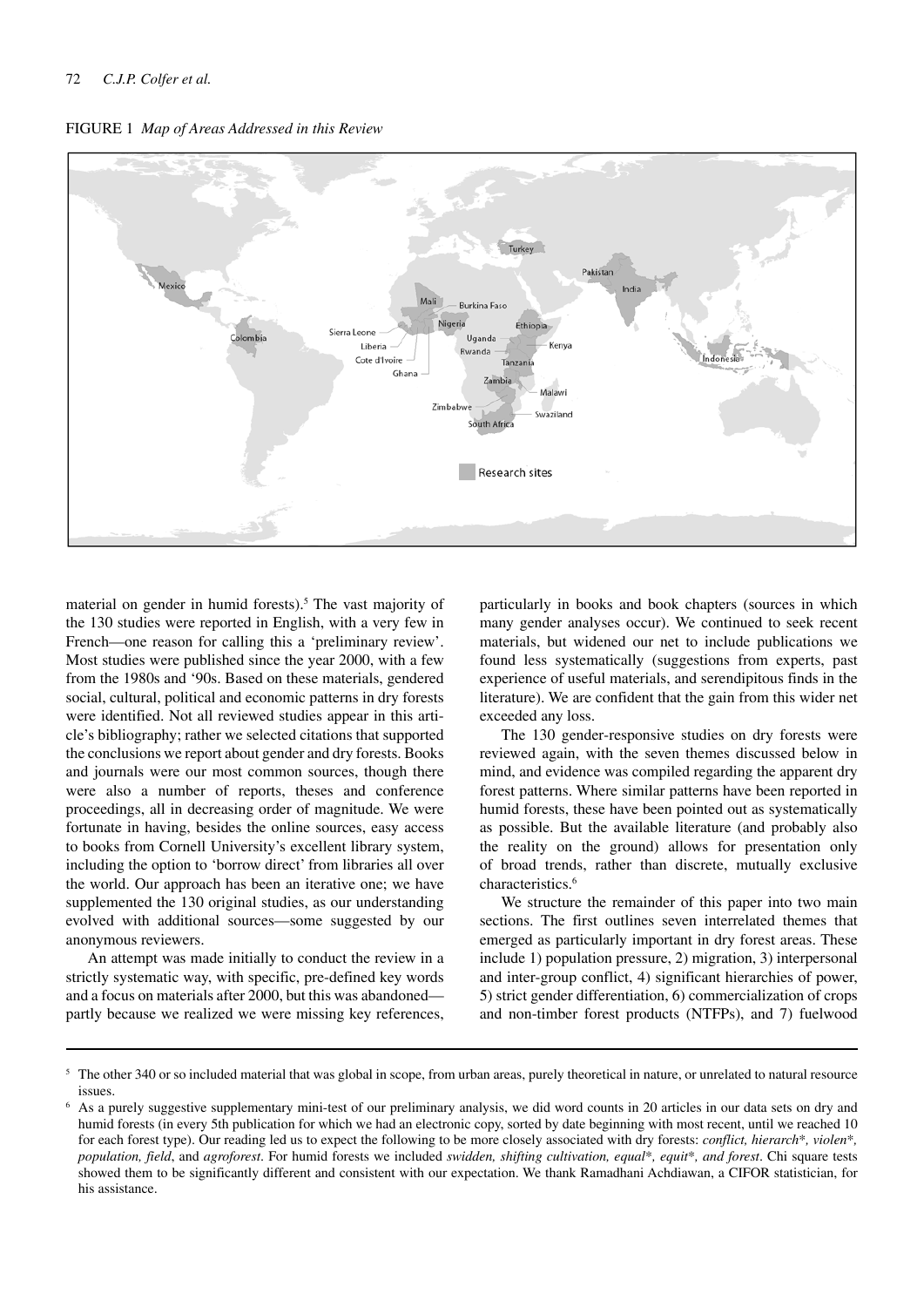Figure 1 *Map of Areas Addressed in this Review* 



material on gender in humid forests).<sup>5</sup> The vast majority of the 130 studies were reported in English, with a very few in French—one reason for calling this a 'preliminary review'. Most studies were published since the year 2000, with a few from the 1980s and '90s. Based on these materials, gendered social, cultural, political and economic patterns in dry forests were identified. Not all reviewed studies appear in this article's bibliography; rather we selected citations that supported the conclusions we report about gender and dry forests. Books and journals were our most common sources, though there were also a number of reports, theses and conference proceedings, all in decreasing order of magnitude. We were fortunate in having, besides the online sources, easy access to books from Cornell University's excellent library system, including the option to 'borrow direct' from libraries all over the world. Our approach has been an iterative one; we have supplemented the 130 original studies, as our understanding evolved with additional sources—some suggested by our anonymous reviewers.

An attempt was made initially to conduct the review in a strictly systematic way, with specific, pre-defined key words and a focus on materials after 2000, but this was abandoned partly because we realized we were missing key references,

particularly in books and book chapters (sources in which many gender analyses occur). We continued to seek recent materials, but widened our net to include publications we found less systematically (suggestions from experts, past experience of useful materials, and serendipitous finds in the literature). We are confident that the gain from this wider net exceeded any loss.

The 130 gender-responsive studies on dry forests were reviewed again, with the seven themes discussed below in mind, and evidence was compiled regarding the apparent dry forest patterns. Where similar patterns have been reported in humid forests, these have been pointed out as systematically as possible. But the available literature (and probably also the reality on the ground) allows for presentation only of broad trends, rather than discrete, mutually exclusive characteristics.<sup>6</sup>

We structure the remainder of this paper into two main sections. The first outlines seven interrelated themes that emerged as particularly important in dry forest areas. These include 1) population pressure, 2) migration, 3) interpersonal and inter-group conflict, 4) significant hierarchies of power, 5) strict gender differentiation, 6) commercialization of crops and non-timber forest products (NTFPs), and 7) fuelwood

<sup>&</sup>lt;sup>5</sup> The other 340 or so included material that was global in scope, from urban areas, purely theoretical in nature, or unrelated to natural resource issues.

<sup>6</sup> As a purely suggestive supplementary mini-test of our preliminary analysis, we did word counts in 20 articles in our data sets on dry and humid forests (in every 5th publication for which we had an electronic copy, sorted by date beginning with most recent, until we reached 10 for each forest type). Our reading led us to expect the following to be more closely associated with dry forests: *conflict, hierarch\*, violen\*, population, field*, and *agroforest*. For humid forests we included *swidden, shifting cultivation, equal\*, equit\*, and forest*. Chi square tests showed them to be significantly different and consistent with our expectation. We thank Ramadhani Achdiawan, a CIFOR statistician, for his assistance.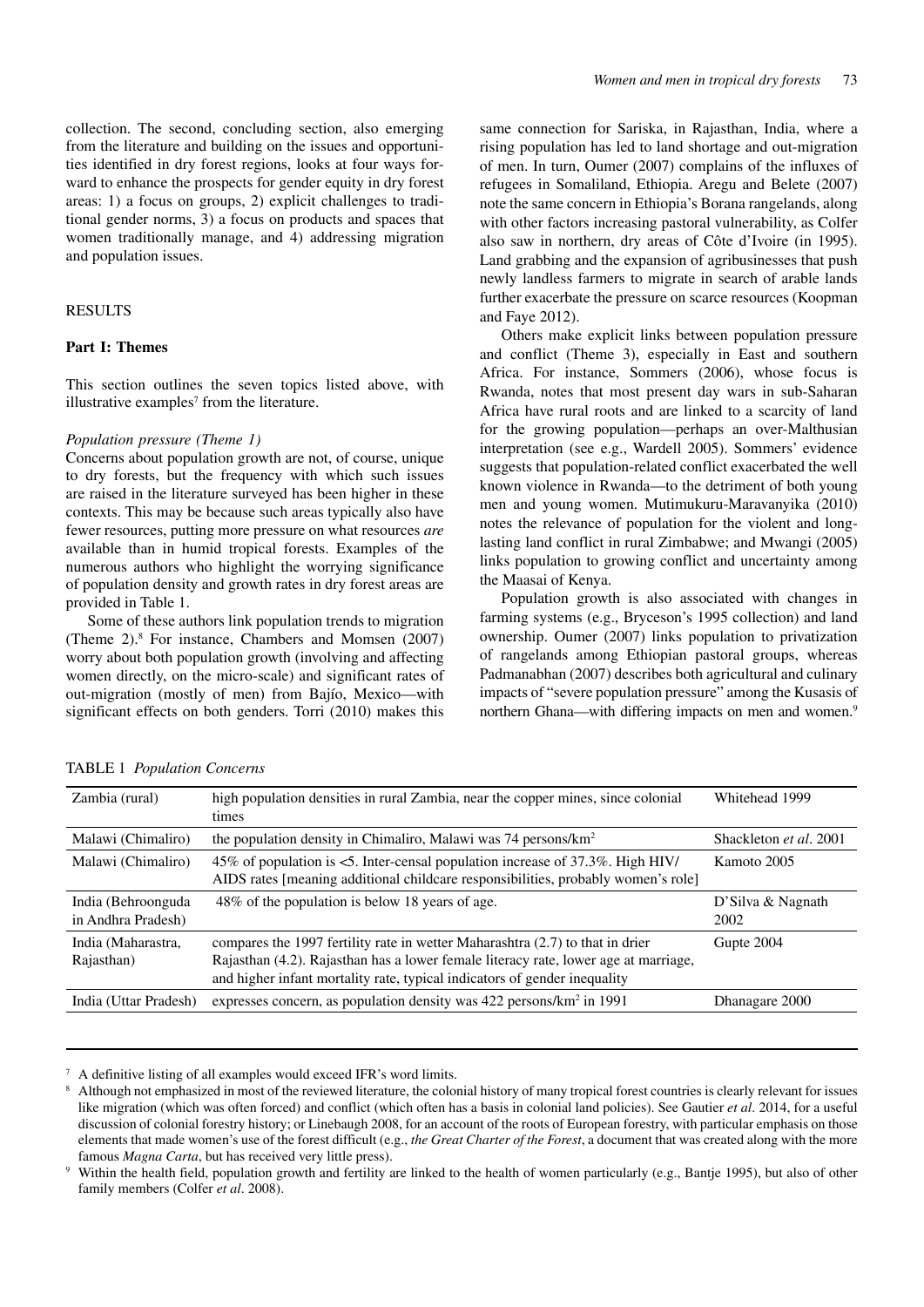collection. The second, concluding section, also emerging from the literature and building on the issues and opportunities identified in dry forest regions, looks at four ways forward to enhance the prospects for gender equity in dry forest areas: 1) a focus on groups, 2) explicit challenges to traditional gender norms, 3) a focus on products and spaces that women traditionally manage, and 4) addressing migration and population issues.

#### RESULTS

#### **Part I: Themes**

This section outlines the seven topics listed above, with illustrative examples<sup> $7$ </sup> from the literature.

#### *Population pressure (Theme 1)*

Concerns about population growth are not, of course, unique to dry forests, but the frequency with which such issues are raised in the literature surveyed has been higher in these contexts. This may be because such areas typically also have fewer resources, putting more pressure on what resources *are* available than in humid tropical forests. Examples of the numerous authors who highlight the worrying significance of population density and growth rates in dry forest areas are provided in Table 1.

Some of these authors link population trends to migration (Theme 2).8 For instance, Chambers and Momsen (2007) worry about both population growth (involving and affecting women directly, on the micro-scale) and significant rates of out-migration (mostly of men) from Bajío, Mexico—with significant effects on both genders. Torri (2010) makes this

same connection for Sariska, in Rajasthan, India, where a rising population has led to land shortage and out-migration of men. In turn, Oumer (2007) complains of the influxes of refugees in Somaliland, Ethiopia. Aregu and Belete (2007) note the same concern in Ethiopia's Borana rangelands, along with other factors increasing pastoral vulnerability, as Colfer also saw in northern, dry areas of Côte d'Ivoire (in 1995). Land grabbing and the expansion of agribusinesses that push newly landless farmers to migrate in search of arable lands further exacerbate the pressure on scarce resources (Koopman and Faye 2012).

Others make explicit links between population pressure and conflict (Theme 3), especially in East and southern Africa. For instance, Sommers (2006), whose focus is Rwanda, notes that most present day wars in sub-Saharan Africa have rural roots and are linked to a scarcity of land for the growing population—perhaps an over-Malthusian interpretation (see e.g., Wardell 2005). Sommers' evidence suggests that population-related conflict exacerbated the well known violence in Rwanda—to the detriment of both young men and young women. Mutimukuru-Maravanyika (2010) notes the relevance of population for the violent and longlasting land conflict in rural Zimbabwe; and Mwangi (2005) links population to growing conflict and uncertainty among the Maasai of Kenya.

Population growth is also associated with changes in farming systems (e.g., Bryceson's 1995 collection) and land ownership. Oumer (2007) links population to privatization of rangelands among Ethiopian pastoral groups, whereas Padmanabhan (2007) describes both agricultural and culinary impacts of "severe population pressure" among the Kusasis of northern Ghana—with differing impacts on men and women.<sup>9</sup>

| Zambia (rural)                            | high population densities in rural Zambia, near the copper mines, since colonial<br>times                                                                                                                                                         | Whitehead 1999                |
|-------------------------------------------|---------------------------------------------------------------------------------------------------------------------------------------------------------------------------------------------------------------------------------------------------|-------------------------------|
| Malawi (Chimaliro)                        | the population density in Chimaliro, Malawi was 74 persons/km <sup>2</sup>                                                                                                                                                                        | Shackleton <i>et al.</i> 2001 |
| Malawi (Chimaliro)                        | 45% of population is <5. Inter-censal population increase of 37.3%. High HIV/<br>AIDS rates [meaning additional childcare responsibilities, probably women's role]                                                                                | Kamoto 2005                   |
| India (Behroonguda)<br>in Andhra Pradesh) | 48% of the population is below 18 years of age.                                                                                                                                                                                                   | D'Silva & Nagnath<br>2002     |
| India (Maharastra,<br>Rajasthan)          | compares the 1997 fertility rate in wetter Maharashtra (2.7) to that in drier<br>Rajasthan (4.2). Rajasthan has a lower female literacy rate, lower age at marriage,<br>and higher infant mortality rate, typical indicators of gender inequality | Gupte 2004                    |
| India (Uttar Pradesh)                     | expresses concern, as population density was 422 persons/km <sup>2</sup> in 1991                                                                                                                                                                  | Dhanagare 2000                |
|                                           |                                                                                                                                                                                                                                                   |                               |

Table 1 *Population Concerns*

<sup>7</sup> A definitive listing of all examples would exceed IFR's word limits.

<sup>8</sup> Although not emphasized in most of the reviewed literature, the colonial history of many tropical forest countries is clearly relevant for issues like migration (which was often forced) and conflict (which often has a basis in colonial land policies). See Gautier *et al*. 2014, for a useful discussion of colonial forestry history; or Linebaugh 2008, for an account of the roots of European forestry, with particular emphasis on those elements that made women's use of the forest difficult (e.g., *the Great Charter of the Forest*, a document that was created along with the more famous *Magna Carta*, but has received very little press).

Within the health field, population growth and fertility are linked to the health of women particularly (e.g., Bantje 1995), but also of other family members (Colfer *et al*. 2008).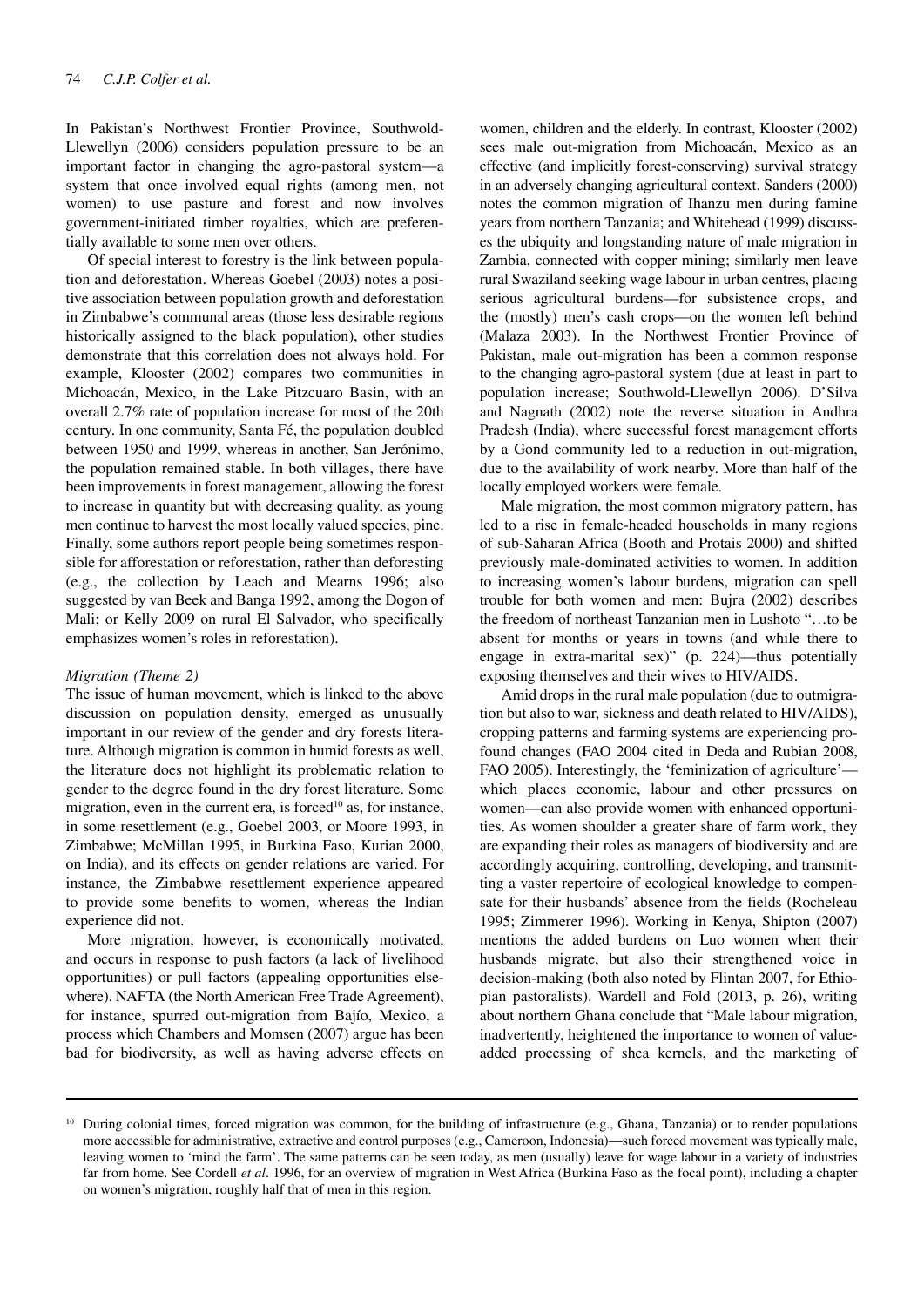In Pakistan's Northwest Frontier Province, Southwold-Llewellyn (2006) considers population pressure to be an important factor in changing the agro-pastoral system—a system that once involved equal rights (among men, not women) to use pasture and forest and now involves government-initiated timber royalties, which are preferentially available to some men over others.

Of special interest to forestry is the link between population and deforestation. Whereas Goebel (2003) notes a positive association between population growth and deforestation in Zimbabwe's communal areas (those less desirable regions historically assigned to the black population), other studies demonstrate that this correlation does not always hold. For example, Klooster (2002) compares two communities in Michoacán, Mexico, in the Lake Pitzcuaro Basin, with an overall 2.7% rate of population increase for most of the 20th century. In one community, Santa Fé, the population doubled between 1950 and 1999, whereas in another, San Jerónimo, the population remained stable. In both villages, there have been improvements in forest management, allowing the forest to increase in quantity but with decreasing quality, as young men continue to harvest the most locally valued species, pine. Finally, some authors report people being sometimes responsible for afforestation or reforestation, rather than deforesting (e.g., the collection by Leach and Mearns 1996; also suggested by van Beek and Banga 1992, among the Dogon of Mali; or Kelly 2009 on rural El Salvador, who specifically emphasizes women's roles in reforestation).

#### *Migration (Theme 2)*

The issue of human movement, which is linked to the above discussion on population density, emerged as unusually important in our review of the gender and dry forests literature. Although migration is common in humid forests as well, the literature does not highlight its problematic relation to gender to the degree found in the dry forest literature. Some migration, even in the current era, is forced<sup>10</sup> as, for instance, in some resettlement (e.g., Goebel 2003, or Moore 1993, in Zimbabwe; McMillan 1995, in Burkina Faso, Kurian 2000, on India), and its effects on gender relations are varied. For instance, the Zimbabwe resettlement experience appeared to provide some benefits to women, whereas the Indian experience did not.

More migration, however, is economically motivated, and occurs in response to push factors (a lack of livelihood opportunities) or pull factors (appealing opportunities elsewhere). NAFTA (the North American Free Trade Agreement), for instance, spurred out-migration from Bajío, Mexico, a process which Chambers and Momsen (2007) argue has been bad for biodiversity, as well as having adverse effects on women, children and the elderly. In contrast, Klooster (2002) sees male out-migration from Michoacán, Mexico as an effective (and implicitly forest-conserving) survival strategy in an adversely changing agricultural context. Sanders (2000) notes the common migration of Ihanzu men during famine years from northern Tanzania; and Whitehead (1999) discusses the ubiquity and longstanding nature of male migration in Zambia, connected with copper mining; similarly men leave rural Swaziland seeking wage labour in urban centres, placing serious agricultural burdens—for subsistence crops, and the (mostly) men's cash crops—on the women left behind (Malaza 2003). In the Northwest Frontier Province of Pakistan, male out-migration has been a common response to the changing agro-pastoral system (due at least in part to population increase; Southwold-Llewellyn 2006). D'Silva and Nagnath (2002) note the reverse situation in Andhra Pradesh (India), where successful forest management efforts by a Gond community led to a reduction in out-migration, due to the availability of work nearby. More than half of the locally employed workers were female.

Male migration, the most common migratory pattern, has led to a rise in female-headed households in many regions of sub-Saharan Africa (Booth and Protais 2000) and shifted previously male-dominated activities to women. In addition to increasing women's labour burdens, migration can spell trouble for both women and men: Bujra (2002) describes the freedom of northeast Tanzanian men in Lushoto "…to be absent for months or years in towns (and while there to engage in extra-marital sex)" (p. 224)—thus potentially exposing themselves and their wives to HIV/AIDS.

Amid drops in the rural male population (due to outmigration but also to war, sickness and death related to HIV/AIDS), cropping patterns and farming systems are experiencing profound changes (FAO 2004 cited in Deda and Rubian 2008, FAO 2005). Interestingly, the 'feminization of agriculture' which places economic, labour and other pressures on women—can also provide women with enhanced opportunities. As women shoulder a greater share of farm work, they are expanding their roles as managers of biodiversity and are accordingly acquiring, controlling, developing, and transmitting a vaster repertoire of ecological knowledge to compensate for their husbands' absence from the fields (Rocheleau 1995; Zimmerer 1996). Working in Kenya, Shipton (2007) mentions the added burdens on Luo women when their husbands migrate, but also their strengthened voice in decision-making (both also noted by Flintan 2007, for Ethiopian pastoralists). Wardell and Fold (2013, p. 26), writing about northern Ghana conclude that "Male labour migration, inadvertently, heightened the importance to women of valueadded processing of shea kernels, and the marketing of

<sup>&</sup>lt;sup>10</sup> During colonial times, forced migration was common, for the building of infrastructure (e.g., Ghana, Tanzania) or to render populations more accessible for administrative, extractive and control purposes (e.g., Cameroon, Indonesia)—such forced movement was typically male, leaving women to 'mind the farm'. The same patterns can be seen today, as men (usually) leave for wage labour in a variety of industries far from home. See Cordell *et al*. 1996, for an overview of migration in West Africa (Burkina Faso as the focal point), including a chapter on women's migration, roughly half that of men in this region.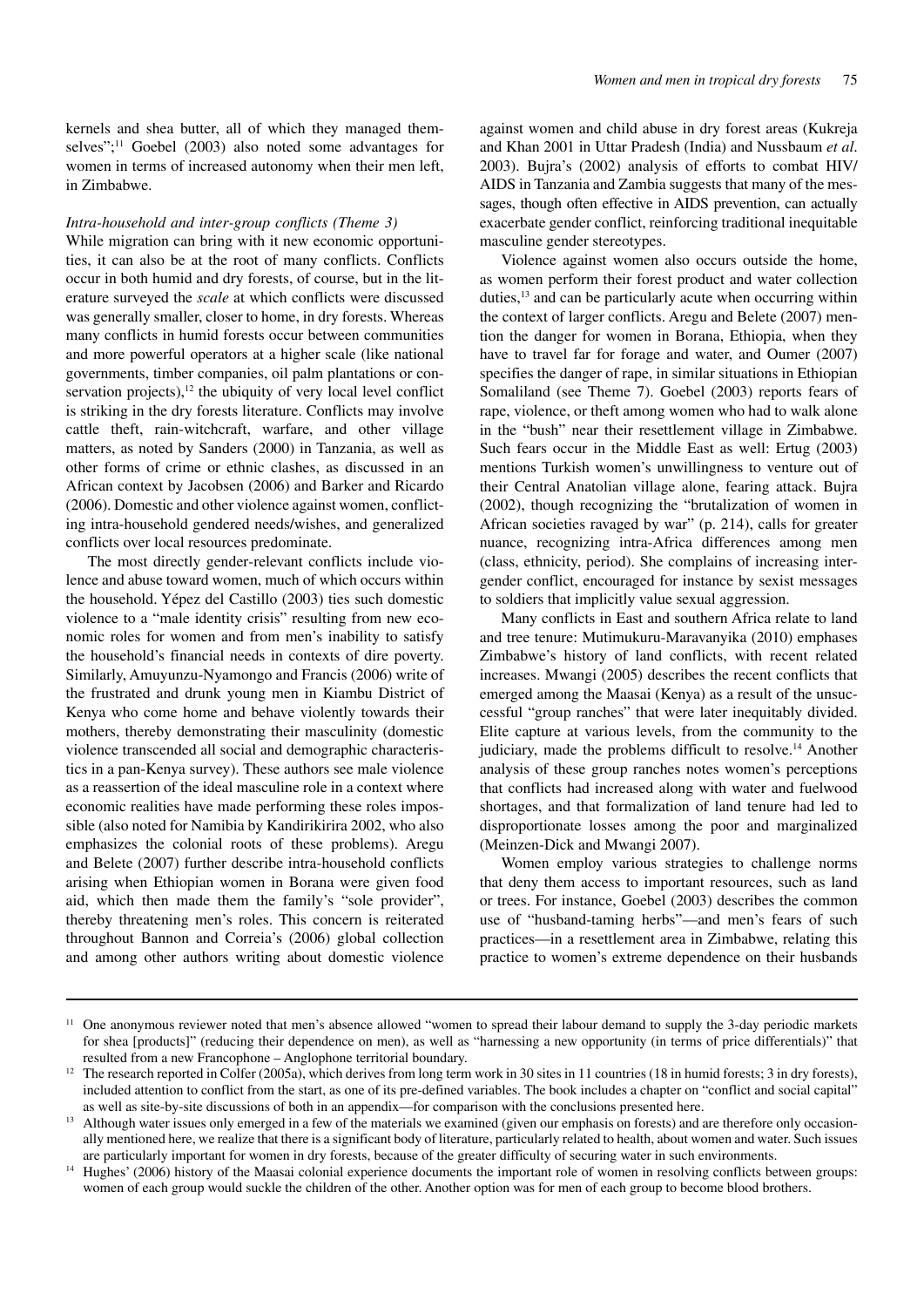kernels and shea butter, all of which they managed themselves";<sup>11</sup> Goebel (2003) also noted some advantages for women in terms of increased autonomy when their men left, in Zimbabwe.

#### *Intra-household and inter-group conflicts (Theme 3)*

While migration can bring with it new economic opportunities, it can also be at the root of many conflicts. Conflicts occur in both humid and dry forests, of course, but in the literature surveyed the *scale* at which conflicts were discussed was generally smaller, closer to home, in dry forests. Whereas many conflicts in humid forests occur between communities and more powerful operators at a higher scale (like national governments, timber companies, oil palm plantations or conservation projects), $12$  the ubiquity of very local level conflict is striking in the dry forests literature. Conflicts may involve cattle theft, rain-witchcraft, warfare, and other village matters, as noted by Sanders (2000) in Tanzania, as well as other forms of crime or ethnic clashes, as discussed in an African context by Jacobsen (2006) and Barker and Ricardo (2006). Domestic and other violence against women, conflicting intra-household gendered needs/wishes, and generalized conflicts over local resources predominate.

The most directly gender-relevant conflicts include violence and abuse toward women, much of which occurs within the household. Yépez del Castillo (2003) ties such domestic violence to a "male identity crisis" resulting from new economic roles for women and from men's inability to satisfy the household's financial needs in contexts of dire poverty. Similarly, Amuyunzu-Nyamongo and Francis (2006) write of the frustrated and drunk young men in Kiambu District of Kenya who come home and behave violently towards their mothers, thereby demonstrating their masculinity (domestic violence transcended all social and demographic characteristics in a pan-Kenya survey). These authors see male violence as a reassertion of the ideal masculine role in a context where economic realities have made performing these roles impossible (also noted for Namibia by Kandirikirira 2002, who also emphasizes the colonial roots of these problems). Aregu and Belete (2007) further describe intra-household conflicts arising when Ethiopian women in Borana were given food aid, which then made them the family's "sole provider", thereby threatening men's roles. This concern is reiterated throughout Bannon and Correia's (2006) global collection and among other authors writing about domestic violence

against women and child abuse in dry forest areas (Kukreja and Khan 2001 in Uttar Pradesh (India) and Nussbaum *et al*. 2003). Bujra's (2002) analysis of efforts to combat HIV/ AIDS in Tanzania and Zambia suggests that many of the messages, though often effective in AIDS prevention, can actually exacerbate gender conflict, reinforcing traditional inequitable masculine gender stereotypes.

Violence against women also occurs outside the home, as women perform their forest product and water collection duties,<sup>13</sup> and can be particularly acute when occurring within the context of larger conflicts. Aregu and Belete (2007) mention the danger for women in Borana, Ethiopia, when they have to travel far for forage and water, and Oumer (2007) specifies the danger of rape, in similar situations in Ethiopian Somaliland (see Theme 7). Goebel (2003) reports fears of rape, violence, or theft among women who had to walk alone in the "bush" near their resettlement village in Zimbabwe. Such fears occur in the Middle East as well: Ertug (2003) mentions Turkish women's unwillingness to venture out of their Central Anatolian village alone, fearing attack. Bujra (2002), though recognizing the "brutalization of women in African societies ravaged by war" (p. 214), calls for greater nuance, recognizing intra-Africa differences among men (class, ethnicity, period). She complains of increasing intergender conflict, encouraged for instance by sexist messages to soldiers that implicitly value sexual aggression.

Many conflicts in East and southern Africa relate to land and tree tenure: Mutimukuru-Maravanyika (2010) emphases Zimbabwe's history of land conflicts, with recent related increases. Mwangi (2005) describes the recent conflicts that emerged among the Maasai (Kenya) as a result of the unsuccessful "group ranches" that were later inequitably divided. Elite capture at various levels, from the community to the judiciary, made the problems difficult to resolve.<sup>14</sup> Another analysis of these group ranches notes women's perceptions that conflicts had increased along with water and fuelwood shortages, and that formalization of land tenure had led to disproportionate losses among the poor and marginalized (Meinzen-Dick and Mwangi 2007).

Women employ various strategies to challenge norms that deny them access to important resources, such as land or trees. For instance, Goebel (2003) describes the common use of "husband-taming herbs"—and men's fears of such practices—in a resettlement area in Zimbabwe, relating this practice to women's extreme dependence on their husbands

<sup>&</sup>lt;sup>11</sup> One anonymous reviewer noted that men's absence allowed "women to spread their labour demand to supply the 3-day periodic markets for shea [products]" (reducing their dependence on men), as well as "harnessing a new opportunity (in terms of price differentials)" that resulted from a new Francophone – Anglophone territorial boundary.

<sup>&</sup>lt;sup>12</sup> The research reported in Colfer (2005a), which derives from long term work in 30 sites in 11 countries (18 in humid forests; 3 in dry forests), included attention to conflict from the start, as one of its pre-defined variables. The book includes a chapter on "conflict and social capital" as well as site-by-site discussions of both in an appendix—for comparison with the conclusions presented here.

<sup>&</sup>lt;sup>13</sup> Although water issues only emerged in a few of the materials we examined (given our emphasis on forests) and are therefore only occasionally mentioned here, we realize that there is a significant body of literature, particularly related to health, about women and water. Such issues are particularly important for women in dry forests, because of the greater difficulty of securing water in such environments.

<sup>&</sup>lt;sup>14</sup> Hughes' (2006) history of the Maasai colonial experience documents the important role of women in resolving conflicts between groups: women of each group would suckle the children of the other. Another option was for men of each group to become blood brothers.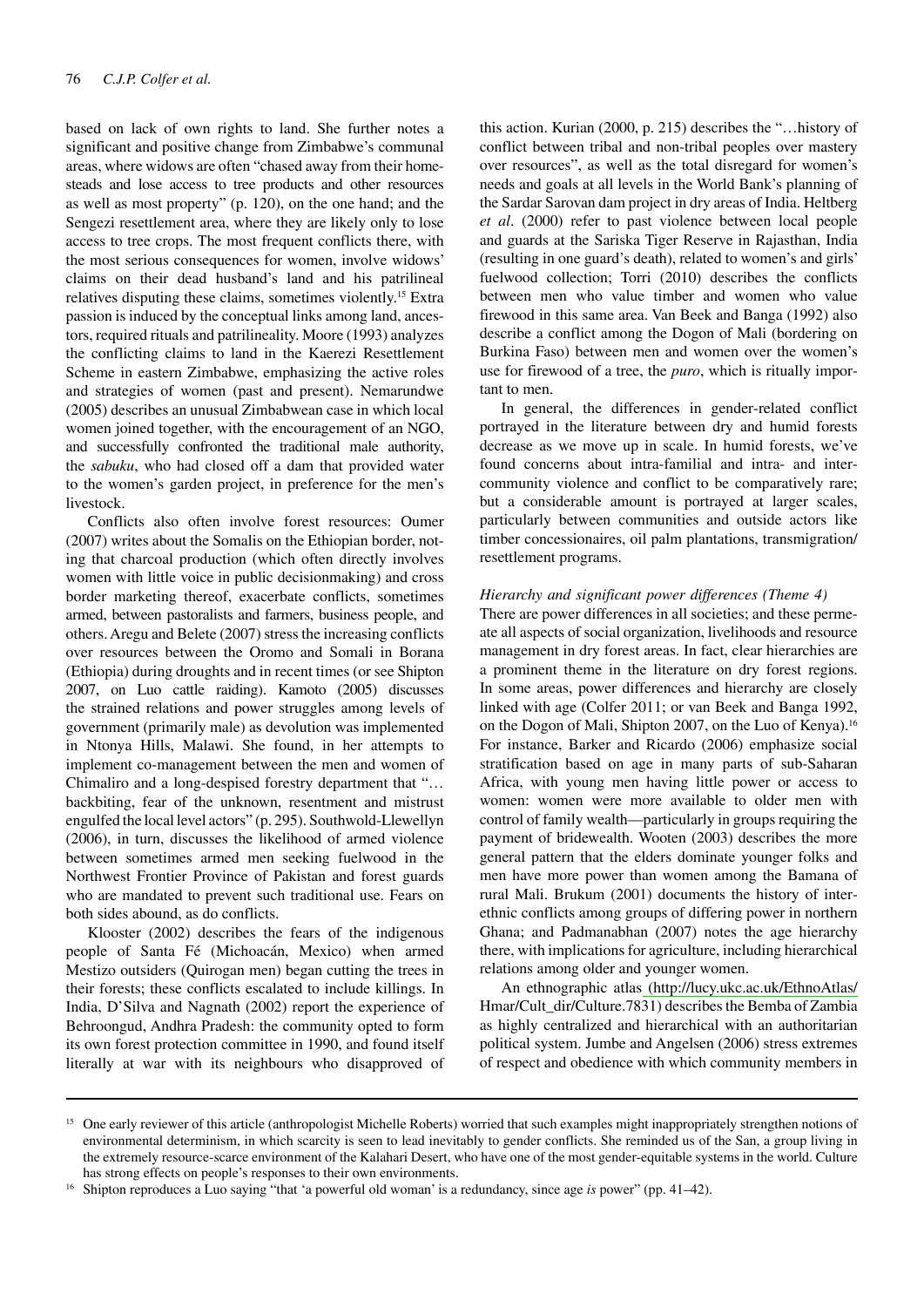based on lack of own rights to land. She further notes a significant and positive change from Zimbabwe's communal areas, where widows are often "chased away from their homesteads and lose access to tree products and other resources as well as most property" (p. 120), on the one hand; and the Sengezi resettlement area, where they are likely only to lose access to tree crops. The most frequent conflicts there, with the most serious consequences for women, involve widows' claims on their dead husband's land and his patrilineal relatives disputing these claims, sometimes violently.15 Extra passion is induced by the conceptual links among land, ancestors, required rituals and patrilineality. Moore (1993) analyzes the conflicting claims to land in the Kaerezi Resettlement Scheme in eastern Zimbabwe, emphasizing the active roles and strategies of women (past and present). Nemarundwe (2005) describes an unusual Zimbabwean case in which local women joined together, with the encouragement of an NGO, and successfully confronted the traditional male authority, the *sabuku*, who had closed off a dam that provided water to the women's garden project, in preference for the men's livestock.

Conflicts also often involve forest resources: Oumer (2007) writes about the Somalis on the Ethiopian border, noting that charcoal production (which often directly involves women with little voice in public decisionmaking) and cross border marketing thereof, exacerbate conflicts, sometimes armed, between pastoralists and farmers, business people, and others. Aregu and Belete (2007) stress the increasing conflicts over resources between the Oromo and Somali in Borana (Ethiopia) during droughts and in recent times (or see Shipton 2007, on Luo cattle raiding). Kamoto (2005) discusses the strained relations and power struggles among levels of government (primarily male) as devolution was implemented in Ntonya Hills, Malawi. She found, in her attempts to implement co-management between the men and women of Chimaliro and a long-despised forestry department that "… backbiting, fear of the unknown, resentment and mistrust engulfed the local level actors" (p. 295). Southwold-Llewellyn (2006), in turn, discusses the likelihood of armed violence between sometimes armed men seeking fuelwood in the Northwest Frontier Province of Pakistan and forest guards who are mandated to prevent such traditional use. Fears on both sides abound, as do conflicts.

Klooster (2002) describes the fears of the indigenous people of Santa Fé (Michoacán, Mexico) when armed Mestizo outsiders (Quirogan men) began cutting the trees in their forests; these conflicts escalated to include killings. In India, D'Silva and Nagnath (2002) report the experience of Behroongud, Andhra Pradesh: the community opted to form its own forest protection committee in 1990, and found itself literally at war with its neighbours who disapproved of this action. Kurian (2000, p. 215) describes the "…history of conflict between tribal and non-tribal peoples over mastery over resources", as well as the total disregard for women's needs and goals at all levels in the World Bank's planning of the Sardar Sarovan dam project in dry areas of India. Heltberg *et al*. (2000) refer to past violence between local people and guards at the Sariska Tiger Reserve in Rajasthan, India (resulting in one guard's death), related to women's and girls' fuelwood collection; Torri (2010) describes the conflicts between men who value timber and women who value firewood in this same area. Van Beek and Banga (1992) also describe a conflict among the Dogon of Mali (bordering on Burkina Faso) between men and women over the women's use for firewood of a tree, the *puro*, which is ritually important to men.

In general, the differences in gender-related conflict portrayed in the literature between dry and humid forests decrease as we move up in scale. In humid forests, we've found concerns about intra-familial and intra- and intercommunity violence and conflict to be comparatively rare; but a considerable amount is portrayed at larger scales, particularly between communities and outside actors like timber concessionaires, oil palm plantations, transmigration/ resettlement programs.

#### *Hierarchy and significant power differences (Theme 4)*

There are power differences in all societies; and these permeate all aspects of social organization, livelihoods and resource management in dry forest areas. In fact, clear hierarchies are a prominent theme in the literature on dry forest regions. In some areas, power differences and hierarchy are closely linked with age (Colfer 2011; or van Beek and Banga 1992, on the Dogon of Mali, Shipton 2007, on the Luo of Kenya).16 For instance, Barker and Ricardo (2006) emphasize social stratification based on age in many parts of sub-Saharan Africa, with young men having little power or access to women: women were more available to older men with control of family wealth—particularly in groups requiring the payment of bridewealth. Wooten (2003) describes the more general pattern that the elders dominate younger folks and men have more power than women among the Bamana of rural Mali. Brukum (2001) documents the history of interethnic conflicts among groups of differing power in northern Ghana; and Padmanabhan (2007) notes the age hierarchy there, with implications for agriculture, including hierarchical relations among older and younger women.

An ethnographic atlas [\(http://lucy.ukc.ac.uk/EthnoAtlas/](http://lucy.ukc.ac.uk/EthnoAtlas/) Hmar/Cult dir/Culture.7831) describes the Bemba of Zambia as highly centralized and hierarchical with an authoritarian political system. Jumbe and Angelsen (2006) stress extremes of respect and obedience with which community members in

<sup>&</sup>lt;sup>15</sup> One early reviewer of this article (anthropologist Michelle Roberts) worried that such examples might inappropriately strengthen notions of environmental determinism, in which scarcity is seen to lead inevitably to gender conflicts. She reminded us of the San, a group living in the extremely resource-scarce environment of the Kalahari Desert, who have one of the most gender-equitable systems in the world. Culture has strong effects on people's responses to their own environments.

<sup>16</sup> Shipton reproduces a Luo saying "that 'a powerful old woman' is a redundancy, since age *is* power" (pp. 41–42).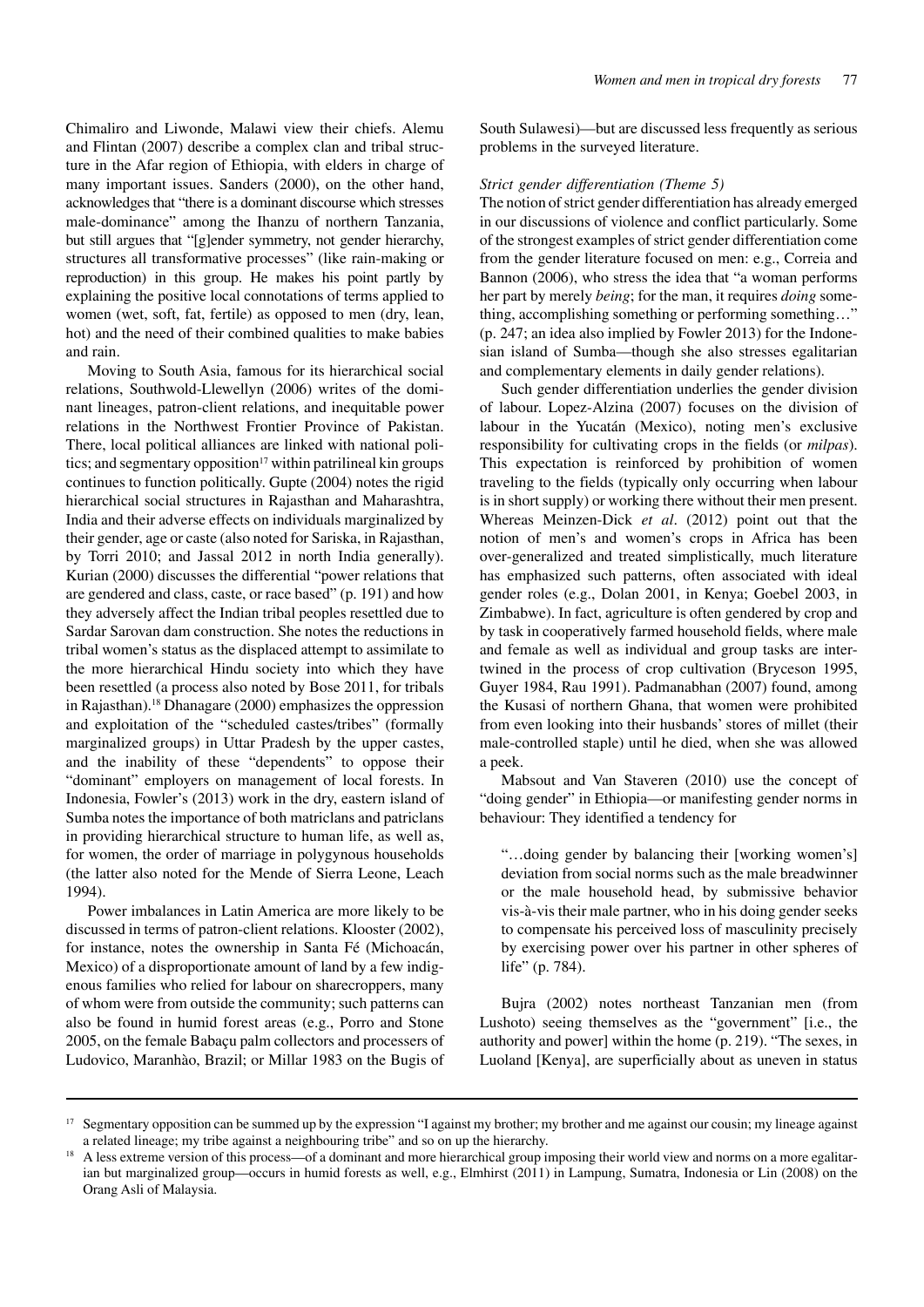Chimaliro and Liwonde, Malawi view their chiefs. Alemu and Flintan (2007) describe a complex clan and tribal structure in the Afar region of Ethiopia, with elders in charge of many important issues. Sanders (2000), on the other hand, acknowledges that "there is a dominant discourse which stresses male-dominance" among the Ihanzu of northern Tanzania, but still argues that "[g]ender symmetry, not gender hierarchy, structures all transformative processes" (like rain-making or reproduction) in this group. He makes his point partly by explaining the positive local connotations of terms applied to women (wet, soft, fat, fertile) as opposed to men (dry, lean, hot) and the need of their combined qualities to make babies and rain.

Moving to South Asia, famous for its hierarchical social relations, Southwold-Llewellyn (2006) writes of the dominant lineages, patron-client relations, and inequitable power relations in the Northwest Frontier Province of Pakistan. There, local political alliances are linked with national politics; and segmentary opposition<sup>17</sup> within patrilineal kin groups continues to function politically. Gupte (2004) notes the rigid hierarchical social structures in Rajasthan and Maharashtra, India and their adverse effects on individuals marginalized by their gender, age or caste (also noted for Sariska, in Rajasthan, by Torri 2010; and Jassal 2012 in north India generally). Kurian (2000) discusses the differential "power relations that are gendered and class, caste, or race based" (p. 191) and how they adversely affect the Indian tribal peoples resettled due to Sardar Sarovan dam construction. She notes the reductions in tribal women's status as the displaced attempt to assimilate to the more hierarchical Hindu society into which they have been resettled (a process also noted by Bose 2011, for tribals in Rajasthan).18 Dhanagare (2000) emphasizes the oppression and exploitation of the "scheduled castes/tribes" (formally marginalized groups) in Uttar Pradesh by the upper castes, and the inability of these "dependents" to oppose their "dominant" employers on management of local forests. In Indonesia, Fowler's (2013) work in the dry, eastern island of Sumba notes the importance of both matriclans and patriclans in providing hierarchical structure to human life, as well as, for women, the order of marriage in polygynous households (the latter also noted for the Mende of Sierra Leone, Leach 1994).

Power imbalances in Latin America are more likely to be discussed in terms of patron-client relations. Klooster (2002), for instance, notes the ownership in Santa Fé (Michoacán, Mexico) of a disproportionate amount of land by a few indigenous families who relied for labour on sharecroppers, many of whom were from outside the community; such patterns can also be found in humid forest areas (e.g., Porro and Stone 2005, on the female Babaçu palm collectors and processers of Ludovico, Maranhào, Brazil; or Millar 1983 on the Bugis of South Sulawesi)—but are discussed less frequently as serious problems in the surveyed literature.

#### *Strict gender differentiation (Theme 5)*

The notion of strict gender differentiation has already emerged in our discussions of violence and conflict particularly. Some of the strongest examples of strict gender differentiation come from the gender literature focused on men: e.g., Correia and Bannon (2006), who stress the idea that "a woman performs her part by merely *being*; for the man, it requires *doing* something, accomplishing something or performing something…" (p. 247; an idea also implied by Fowler 2013) for the Indonesian island of Sumba—though she also stresses egalitarian and complementary elements in daily gender relations).

Such gender differentiation underlies the gender division of labour. Lopez-Alzina (2007) focuses on the division of labour in the Yucatán (Mexico), noting men's exclusive responsibility for cultivating crops in the fields (or *milpas*). This expectation is reinforced by prohibition of women traveling to the fields (typically only occurring when labour is in short supply) or working there without their men present. Whereas Meinzen-Dick *et al*. (2012) point out that the notion of men's and women's crops in Africa has been over-generalized and treated simplistically, much literature has emphasized such patterns, often associated with ideal gender roles (e.g., Dolan 2001, in Kenya; Goebel 2003, in Zimbabwe). In fact, agriculture is often gendered by crop and by task in cooperatively farmed household fields, where male and female as well as individual and group tasks are intertwined in the process of crop cultivation (Bryceson 1995, Guyer 1984, Rau 1991). Padmanabhan (2007) found, among the Kusasi of northern Ghana, that women were prohibited from even looking into their husbands' stores of millet (their male-controlled staple) until he died, when she was allowed a peek.

Mabsout and Van Staveren (2010) use the concept of "doing gender" in Ethiopia—or manifesting gender norms in behaviour: They identified a tendency for

"…doing gender by balancing their [working women's] deviation from social norms such as the male breadwinner or the male household head, by submissive behavior vis-à-vis their male partner, who in his doing gender seeks to compensate his perceived loss of masculinity precisely by exercising power over his partner in other spheres of life" (p. 784).

Bujra (2002) notes northeast Tanzanian men (from Lushoto) seeing themselves as the "government" [i.e., the authority and power] within the home (p. 219). "The sexes, in Luoland [Kenya], are superficially about as uneven in status

<sup>&</sup>lt;sup>17</sup> Segmentary opposition can be summed up by the expression "I against my brother; my brother and me against our cousin; my lineage against a related lineage; my tribe against a neighbouring tribe" and so on up the hierarchy.

<sup>&</sup>lt;sup>18</sup> A less extreme version of this process—of a dominant and more hierarchical group imposing their world view and norms on a more egalitarian but marginalized group—occurs in humid forests as well, e.g., Elmhirst (2011) in Lampung, Sumatra, Indonesia or Lin (2008) on the Orang Asli of Malaysia.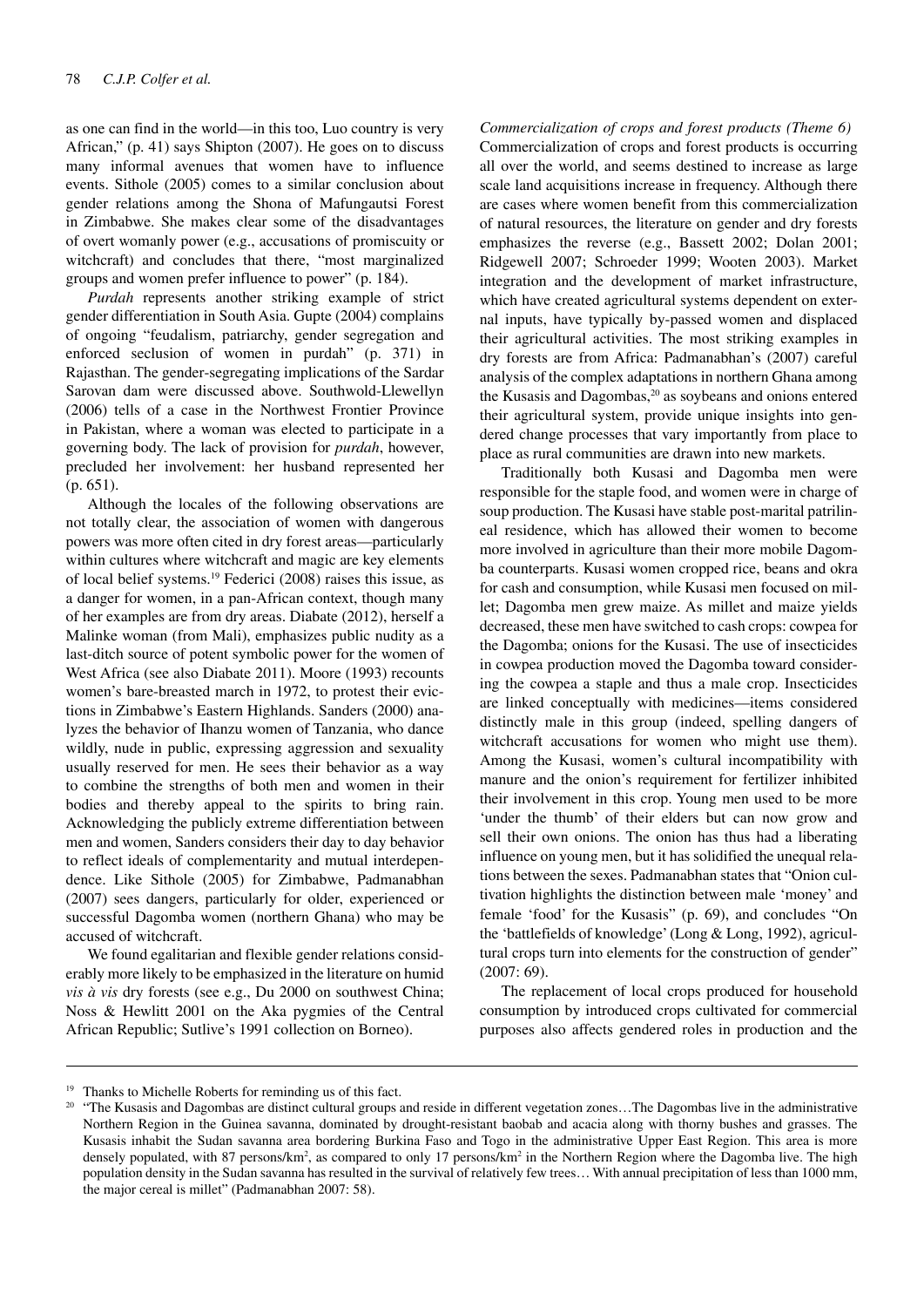as one can find in the world—in this too, Luo country is very African," (p. 41) says Shipton (2007). He goes on to discuss many informal avenues that women have to influence events. Sithole (2005) comes to a similar conclusion about gender relations among the Shona of Mafungautsi Forest in Zimbabwe. She makes clear some of the disadvantages of overt womanly power (e.g., accusations of promiscuity or witchcraft) and concludes that there, "most marginalized groups and women prefer influence to power" (p. 184).

*Purdah* represents another striking example of strict gender differentiation in South Asia. Gupte (2004) complains of ongoing "feudalism, patriarchy, gender segregation and enforced seclusion of women in purdah" (p. 371) in Rajasthan. The gender-segregating implications of the Sardar Sarovan dam were discussed above. Southwold-Llewellyn (2006) tells of a case in the Northwest Frontier Province in Pakistan, where a woman was elected to participate in a governing body. The lack of provision for *purdah*, however, precluded her involvement: her husband represented her (p. 651).

Although the locales of the following observations are not totally clear, the association of women with dangerous powers was more often cited in dry forest areas—particularly within cultures where witchcraft and magic are key elements of local belief systems.19 Federici (2008) raises this issue, as a danger for women, in a pan-African context, though many of her examples are from dry areas. Diabate (2012), herself a Malinke woman (from Mali), emphasizes public nudity as a last-ditch source of potent symbolic power for the women of West Africa (see also Diabate 2011). Moore (1993) recounts women's bare-breasted march in 1972, to protest their evictions in Zimbabwe's Eastern Highlands. Sanders (2000) analyzes the behavior of Ihanzu women of Tanzania, who dance wildly, nude in public, expressing aggression and sexuality usually reserved for men. He sees their behavior as a way to combine the strengths of both men and women in their bodies and thereby appeal to the spirits to bring rain. Acknowledging the publicly extreme differentiation between men and women, Sanders considers their day to day behavior to reflect ideals of complementarity and mutual interdependence. Like Sithole (2005) for Zimbabwe, Padmanabhan (2007) sees dangers, particularly for older, experienced or successful Dagomba women (northern Ghana) who may be accused of witchcraft.

We found egalitarian and flexible gender relations considerably more likely to be emphasized in the literature on humid *vis à vis* dry forests (see e.g., Du 2000 on southwest China; Noss & Hewlitt 2001 on the Aka pygmies of the Central African Republic; Sutlive's 1991 collection on Borneo).

*Commercialization of crops and forest products (Theme 6)* Commercialization of crops and forest products is occurring all over the world, and seems destined to increase as large scale land acquisitions increase in frequency. Although there are cases where women benefit from this commercialization of natural resources, the literature on gender and dry forests emphasizes the reverse (e.g., Bassett 2002; Dolan 2001; Ridgewell 2007; Schroeder 1999; Wooten 2003). Market integration and the development of market infrastructure, which have created agricultural systems dependent on external inputs, have typically by-passed women and displaced their agricultural activities. The most striking examples in dry forests are from Africa: Padmanabhan's (2007) careful analysis of the complex adaptations in northern Ghana among the Kusasis and Dagombas,<sup>20</sup> as soybeans and onions entered their agricultural system, provide unique insights into gendered change processes that vary importantly from place to place as rural communities are drawn into new markets.

Traditionally both Kusasi and Dagomba men were responsible for the staple food, and women were in charge of soup production. The Kusasi have stable post-marital patrilineal residence, which has allowed their women to become more involved in agriculture than their more mobile Dagomba counterparts. Kusasi women cropped rice, beans and okra for cash and consumption, while Kusasi men focused on millet; Dagomba men grew maize. As millet and maize yields decreased, these men have switched to cash crops: cowpea for the Dagomba; onions for the Kusasi. The use of insecticides in cowpea production moved the Dagomba toward considering the cowpea a staple and thus a male crop. Insecticides are linked conceptually with medicines—items considered distinctly male in this group (indeed, spelling dangers of witchcraft accusations for women who might use them). Among the Kusasi, women's cultural incompatibility with manure and the onion's requirement for fertilizer inhibited their involvement in this crop. Young men used to be more 'under the thumb' of their elders but can now grow and sell their own onions. The onion has thus had a liberating influence on young men, but it has solidified the unequal relations between the sexes. Padmanabhan states that "Onion cultivation highlights the distinction between male 'money' and female 'food' for the Kusasis" (p. 69), and concludes "On the 'battlefields of knowledge' (Long & Long, 1992), agricultural crops turn into elements for the construction of gender" (2007: 69).

The replacement of local crops produced for household consumption by introduced crops cultivated for commercial purposes also affects gendered roles in production and the

<sup>&</sup>lt;sup>19</sup> Thanks to Michelle Roberts for reminding us of this fact.

<sup>&</sup>lt;sup>20</sup> "The Kusasis and Dagombas are distinct cultural groups and reside in different vegetation zones...The Dagombas live in the administrative Northern Region in the Guinea savanna, dominated by drought-resistant baobab and acacia along with thorny bushes and grasses. The Kusasis inhabit the Sudan savanna area bordering Burkina Faso and Togo in the administrative Upper East Region. This area is more densely populated, with 87 persons/km<sup>2</sup>, as compared to only 17 persons/km<sup>2</sup> in the Northern Region where the Dagomba live. The high population density in the Sudan savanna has resulted in the survival of relatively few trees… With annual precipitation of less than 1000 mm, the major cereal is millet" (Padmanabhan 2007: 58).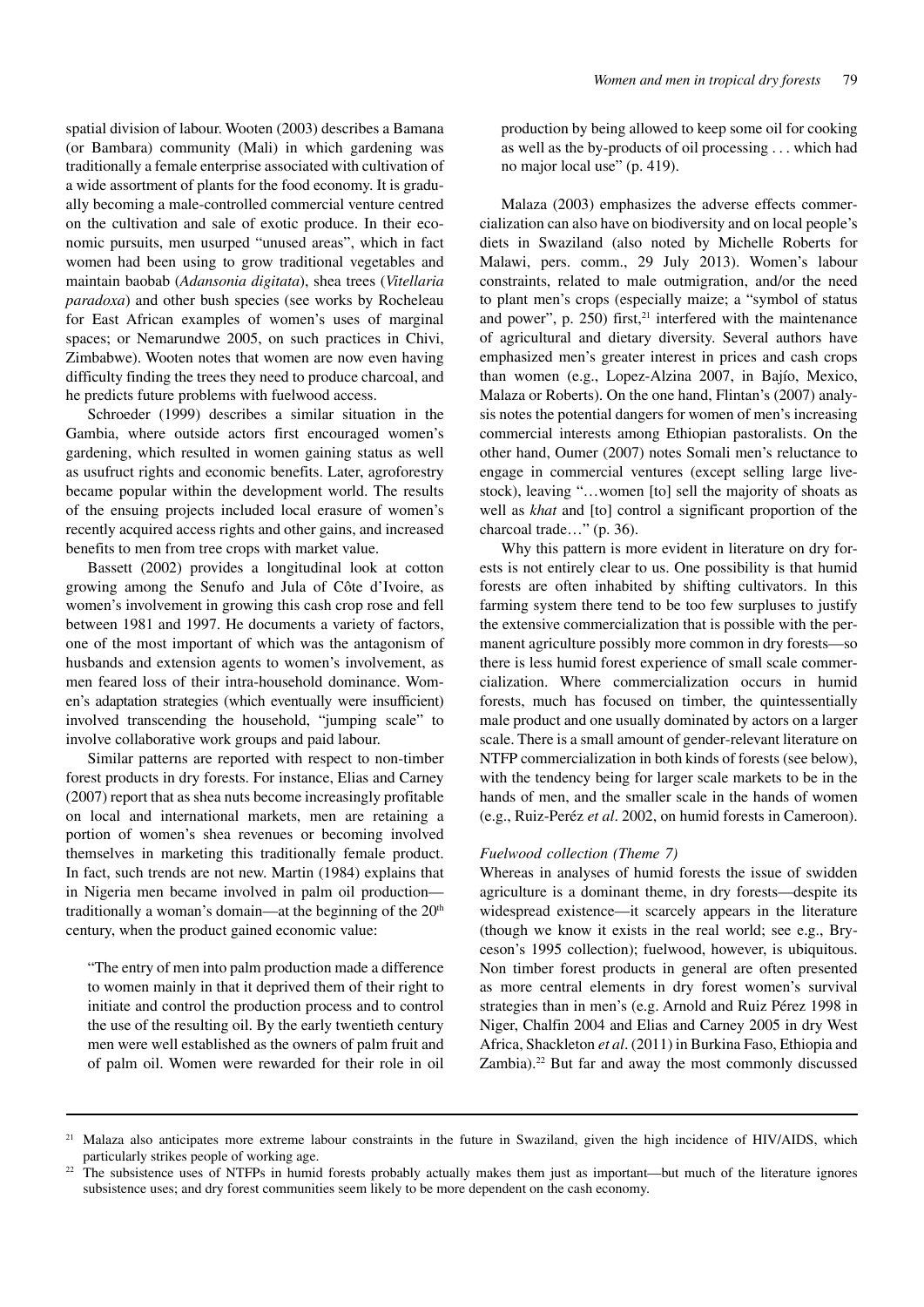spatial division of labour. Wooten (2003) describes a Bamana (or Bambara) community (Mali) in which gardening was traditionally a female enterprise associated with cultivation of a wide assortment of plants for the food economy. It is gradually becoming a male-controlled commercial venture centred on the cultivation and sale of exotic produce. In their economic pursuits, men usurped "unused areas", which in fact women had been using to grow traditional vegetables and maintain baobab (*Adansonia digitata*), shea trees (*Vitellaria paradoxa*) and other bush species (see works by Rocheleau for East African examples of women's uses of marginal spaces; or Nemarundwe 2005, on such practices in Chivi, Zimbabwe). Wooten notes that women are now even having difficulty finding the trees they need to produce charcoal, and he predicts future problems with fuelwood access.

Schroeder (1999) describes a similar situation in the Gambia, where outside actors first encouraged women's gardening, which resulted in women gaining status as well as usufruct rights and economic benefits. Later, agroforestry became popular within the development world. The results of the ensuing projects included local erasure of women's recently acquired access rights and other gains, and increased benefits to men from tree crops with market value.

Bassett (2002) provides a longitudinal look at cotton growing among the Senufo and Jula of Côte d'Ivoire, as women's involvement in growing this cash crop rose and fell between 1981 and 1997. He documents a variety of factors, one of the most important of which was the antagonism of husbands and extension agents to women's involvement, as men feared loss of their intra-household dominance. Women's adaptation strategies (which eventually were insufficient) involved transcending the household, "jumping scale" to involve collaborative work groups and paid labour.

Similar patterns are reported with respect to non-timber forest products in dry forests. For instance, Elias and Carney (2007) report that as shea nuts become increasingly profitable on local and international markets, men are retaining a portion of women's shea revenues or becoming involved themselves in marketing this traditionally female product. In fact, such trends are not new. Martin (1984) explains that in Nigeria men became involved in palm oil production traditionally a woman's domain—at the beginning of the  $20<sup>th</sup>$ century, when the product gained economic value:

"The entry of men into palm production made a difference to women mainly in that it deprived them of their right to initiate and control the production process and to control the use of the resulting oil. By the early twentieth century men were well established as the owners of palm fruit and of palm oil. Women were rewarded for their role in oil

production by being allowed to keep some oil for cooking as well as the by-products of oil processing . . . which had no major local use" (p. 419).

Malaza (2003) emphasizes the adverse effects commercialization can also have on biodiversity and on local people's diets in Swaziland (also noted by Michelle Roberts for Malawi, pers. comm., 29 July 2013). Women's labour constraints, related to male outmigration, and/or the need to plant men's crops (especially maize; a "symbol of status and power", p.  $250$ ) first,<sup>21</sup> interfered with the maintenance of agricultural and dietary diversity. Several authors have emphasized men's greater interest in prices and cash crops than women (e.g., Lopez-Alzina 2007, in Bajío, Mexico, Malaza or Roberts). On the one hand, Flintan's (2007) analysis notes the potential dangers for women of men's increasing commercial interests among Ethiopian pastoralists. On the other hand, Oumer (2007) notes Somali men's reluctance to engage in commercial ventures (except selling large livestock), leaving "…women [to] sell the majority of shoats as well as *khat* and [to] control a significant proportion of the charcoal trade…" (p. 36).

Why this pattern is more evident in literature on dry forests is not entirely clear to us. One possibility is that humid forests are often inhabited by shifting cultivators. In this farming system there tend to be too few surpluses to justify the extensive commercialization that is possible with the permanent agriculture possibly more common in dry forests—so there is less humid forest experience of small scale commercialization. Where commercialization occurs in humid forests, much has focused on timber, the quintessentially male product and one usually dominated by actors on a larger scale. There is a small amount of gender-relevant literature on NTFP commercialization in both kinds of forests (see below), with the tendency being for larger scale markets to be in the hands of men, and the smaller scale in the hands of women (e.g., Ruiz-Peréz *et al*. 2002, on humid forests in Cameroon).

# *Fuelwood collection (Theme 7)*

Whereas in analyses of humid forests the issue of swidden agriculture is a dominant theme, in dry forests—despite its widespread existence—it scarcely appears in the literature (though we know it exists in the real world; see e.g., Bryceson's 1995 collection); fuelwood, however, is ubiquitous. Non timber forest products in general are often presented as more central elements in dry forest women's survival strategies than in men's (e.g. Arnold and Ruiz Pérez 1998 in Niger, Chalfin 2004 and Elias and Carney 2005 in dry West Africa, Shackleton *et al*. (2011) in Burkina Faso, Ethiopia and Zambia).<sup>22</sup> But far and away the most commonly discussed

<sup>&</sup>lt;sup>21</sup> Malaza also anticipates more extreme labour constraints in the future in Swaziland, given the high incidence of HIV/AIDS, which particularly strikes people of working age.

<sup>&</sup>lt;sup>22</sup> The subsistence uses of NTFPs in humid forests probably actually makes them just as important—but much of the literature ignores subsistence uses; and dry forest communities seem likely to be more dependent on the cash economy.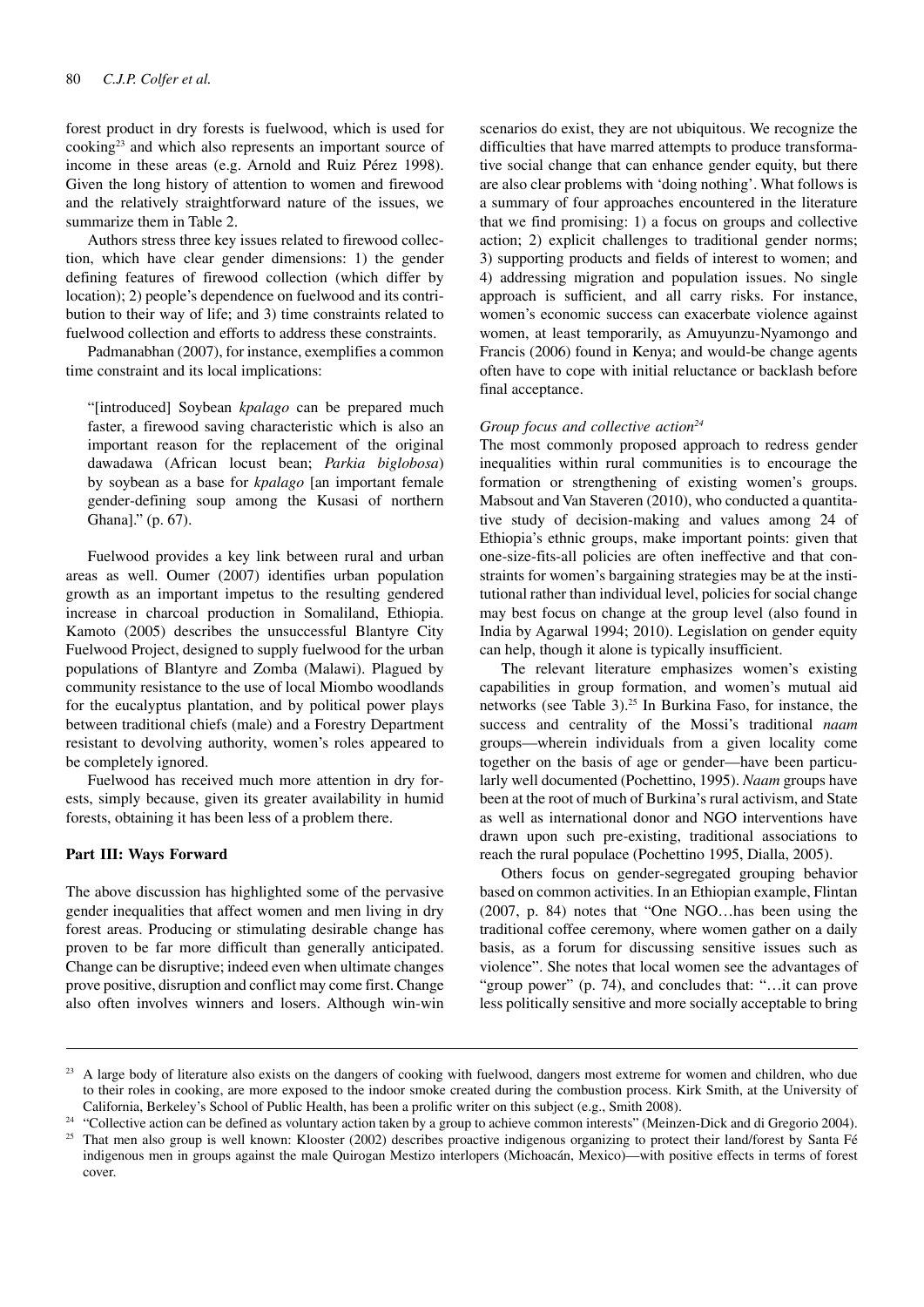forest product in dry forests is fuelwood, which is used for cooking23 and which also represents an important source of income in these areas (e.g. Arnold and Ruiz Pérez 1998). Given the long history of attention to women and firewood and the relatively straightforward nature of the issues, we summarize them in Table 2.

Authors stress three key issues related to firewood collection, which have clear gender dimensions: 1) the gender defining features of firewood collection (which differ by location); 2) people's dependence on fuelwood and its contribution to their way of life; and 3) time constraints related to fuelwood collection and efforts to address these constraints.

Padmanabhan (2007), for instance, exemplifies a common time constraint and its local implications:

"[introduced] Soybean *kpalago* can be prepared much faster, a firewood saving characteristic which is also an important reason for the replacement of the original dawadawa (African locust bean; *Parkia biglobosa*) by soybean as a base for *kpalago* [an important female gender-defining soup among the Kusasi of northern Ghana]." (p. 67).

Fuelwood provides a key link between rural and urban areas as well. Oumer (2007) identifies urban population growth as an important impetus to the resulting gendered increase in charcoal production in Somaliland, Ethiopia. Kamoto (2005) describes the unsuccessful Blantyre City Fuelwood Project, designed to supply fuelwood for the urban populations of Blantyre and Zomba (Malawi). Plagued by community resistance to the use of local Miombo woodlands for the eucalyptus plantation, and by political power plays between traditional chiefs (male) and a Forestry Department resistant to devolving authority, women's roles appeared to be completely ignored.

Fuelwood has received much more attention in dry forests, simply because, given its greater availability in humid forests, obtaining it has been less of a problem there.

#### **Part III: Ways Forward**

The above discussion has highlighted some of the pervasive gender inequalities that affect women and men living in dry forest areas. Producing or stimulating desirable change has proven to be far more difficult than generally anticipated. Change can be disruptive; indeed even when ultimate changes prove positive, disruption and conflict may come first. Change also often involves winners and losers. Although win-win

scenarios do exist, they are not ubiquitous. We recognize the difficulties that have marred attempts to produce transformative social change that can enhance gender equity, but there are also clear problems with 'doing nothing'. What follows is a summary of four approaches encountered in the literature that we find promising: 1) a focus on groups and collective action; 2) explicit challenges to traditional gender norms; 3) supporting products and fields of interest to women; and 4) addressing migration and population issues. No single approach is sufficient, and all carry risks. For instance, women's economic success can exacerbate violence against women, at least temporarily, as Amuyunzu-Nyamongo and Francis (2006) found in Kenya; and would-be change agents often have to cope with initial reluctance or backlash before final acceptance.

#### *Group focus and collective action24*

The most commonly proposed approach to redress gender inequalities within rural communities is to encourage the formation or strengthening of existing women's groups. Mabsout and Van Staveren (2010), who conducted a quantitative study of decision-making and values among 24 of Ethiopia's ethnic groups, make important points: given that one-size-fits-all policies are often ineffective and that constraints for women's bargaining strategies may be at the institutional rather than individual level, policies for social change may best focus on change at the group level (also found in India by Agarwal 1994; 2010). Legislation on gender equity can help, though it alone is typically insufficient.

The relevant literature emphasizes women's existing capabilities in group formation, and women's mutual aid networks (see Table 3).25 In Burkina Faso, for instance, the success and centrality of the Mossi's traditional *naam*  groups—wherein individuals from a given locality come together on the basis of age or gender—have been particularly well documented (Pochettino, 1995). *Naam* groups have been at the root of much of Burkina's rural activism, and State as well as international donor and NGO interventions have drawn upon such pre-existing, traditional associations to reach the rural populace (Pochettino 1995, Dialla, 2005).

Others focus on gender-segregated grouping behavior based on common activities. In an Ethiopian example, Flintan (2007, p. 84) notes that "One NGO…has been using the traditional coffee ceremony, where women gather on a daily basis, as a forum for discussing sensitive issues such as violence". She notes that local women see the advantages of "group power" (p. 74), and concludes that: "…it can prove less politically sensitive and more socially acceptable to bring

<sup>24</sup> "Collective action can be defined as voluntary action taken by a group to achieve common interests" (Meinzen-Dick and di Gregorio 2004).

<sup>&</sup>lt;sup>23</sup> A large body of literature also exists on the dangers of cooking with fuelwood, dangers most extreme for women and children, who due to their roles in cooking, are more exposed to the indoor smoke created during the combustion process. Kirk Smith, at the University of California, Berkeley's School of Public Health, has been a prolific writer on this subject (e.g., Smith 2008).

<sup>&</sup>lt;sup>25</sup> That men also group is well known: Klooster (2002) describes proactive indigenous organizing to protect their land/forest by Santa Fé indigenous men in groups against the male Quirogan Mestizo interlopers (Michoacán, Mexico)—with positive effects in terms of forest cover.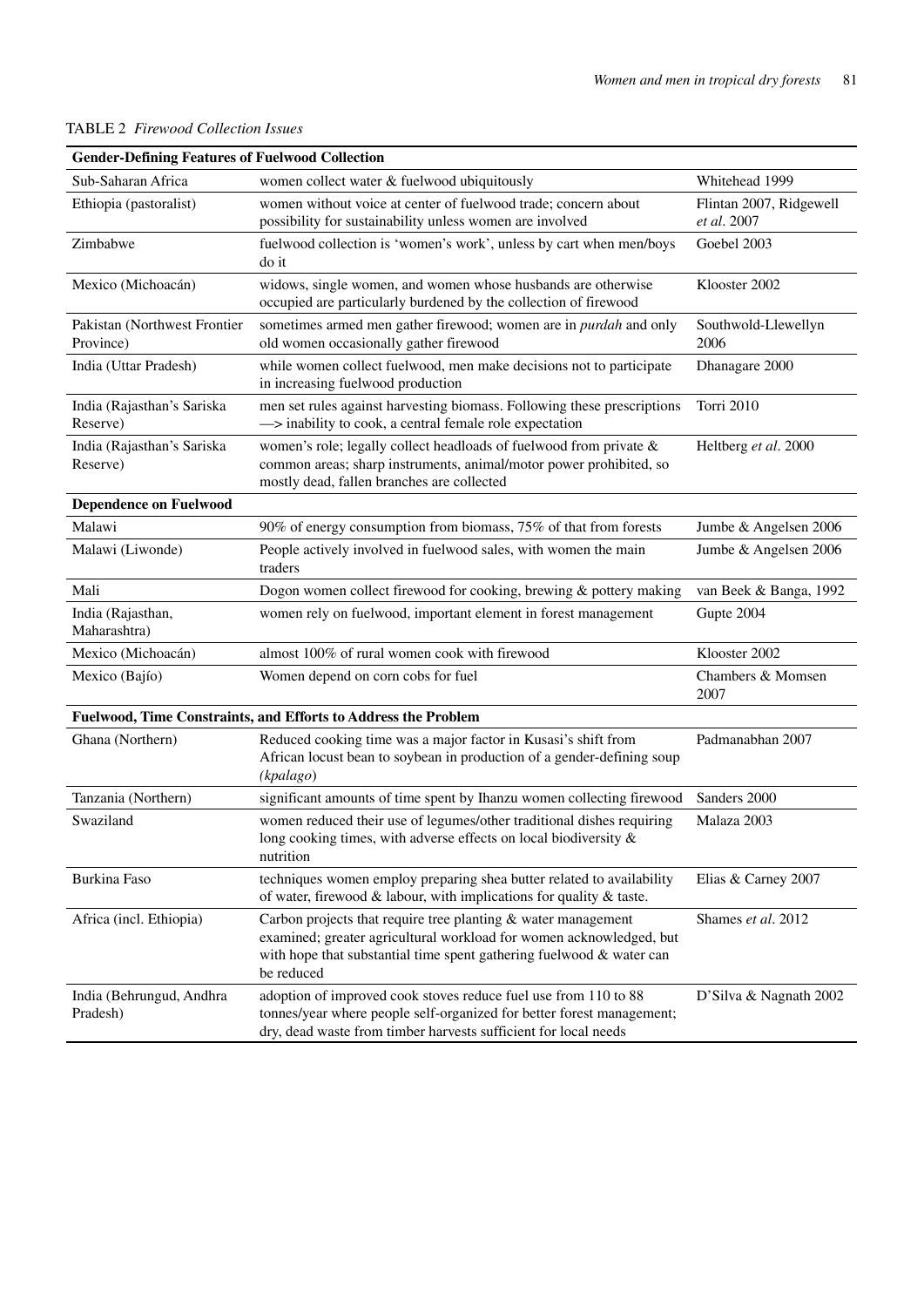# Table 2 *Firewood Collection Issues*

| <b>Gender-Defining Features of Fuelwood Collection</b>         |                                                                                                                                                                                                                              |                                        |  |  |  |
|----------------------------------------------------------------|------------------------------------------------------------------------------------------------------------------------------------------------------------------------------------------------------------------------------|----------------------------------------|--|--|--|
| Sub-Saharan Africa                                             | women collect water & fuelwood ubiquitously                                                                                                                                                                                  | Whitehead 1999                         |  |  |  |
| Ethiopia (pastoralist)                                         | women without voice at center of fuelwood trade; concern about<br>possibility for sustainability unless women are involved                                                                                                   | Flintan 2007, Ridgewell<br>et al. 2007 |  |  |  |
| Zimbabwe                                                       | fuelwood collection is 'women's work', unless by cart when men/boys<br>do it                                                                                                                                                 | Goebel 2003                            |  |  |  |
| Mexico (Michoacán)                                             | widows, single women, and women whose husbands are otherwise<br>occupied are particularly burdened by the collection of firewood                                                                                             | Klooster 2002                          |  |  |  |
| Pakistan (Northwest Frontier<br>Province)                      | sometimes armed men gather firewood; women are in purdah and only<br>old women occasionally gather firewood                                                                                                                  | Southwold-Llewellyn<br>2006            |  |  |  |
| India (Uttar Pradesh)                                          | while women collect fuelwood, men make decisions not to participate<br>in increasing fuelwood production                                                                                                                     | Dhanagare 2000                         |  |  |  |
| India (Rajasthan's Sariska<br>Reserve)                         | men set rules against harvesting biomass. Following these prescriptions<br>-> inability to cook, a central female role expectation                                                                                           | <b>Torri 2010</b>                      |  |  |  |
| India (Rajasthan's Sariska<br>Reserve)                         | women's role; legally collect headloads of fuelwood from private &<br>common areas; sharp instruments, animal/motor power prohibited, so<br>mostly dead, fallen branches are collected                                       | Heltberg et al. 2000                   |  |  |  |
| <b>Dependence on Fuelwood</b>                                  |                                                                                                                                                                                                                              |                                        |  |  |  |
| Malawi                                                         | 90% of energy consumption from biomass, 75% of that from forests                                                                                                                                                             | Jumbe & Angelsen 2006                  |  |  |  |
| Malawi (Liwonde)                                               | People actively involved in fuelwood sales, with women the main<br>traders                                                                                                                                                   | Jumbe & Angelsen 2006                  |  |  |  |
| Mali                                                           | Dogon women collect firewood for cooking, brewing & pottery making                                                                                                                                                           | van Beek & Banga, 1992                 |  |  |  |
| India (Rajasthan,<br>Maharashtra)                              | women rely on fuelwood, important element in forest management                                                                                                                                                               | Gupte 2004                             |  |  |  |
| Mexico (Michoacán)                                             | almost 100% of rural women cook with firewood                                                                                                                                                                                | Klooster 2002                          |  |  |  |
| Mexico (Bajío)                                                 | Women depend on corn cobs for fuel                                                                                                                                                                                           | Chambers & Momsen<br>2007              |  |  |  |
| Fuelwood, Time Constraints, and Efforts to Address the Problem |                                                                                                                                                                                                                              |                                        |  |  |  |
| Ghana (Northern)                                               | Reduced cooking time was a major factor in Kusasi's shift from<br>African locust bean to soybean in production of a gender-defining soup<br>(kpalago)                                                                        | Padmanabhan 2007                       |  |  |  |
| Tanzania (Northern)                                            | significant amounts of time spent by Ihanzu women collecting firewood                                                                                                                                                        | Sanders 2000                           |  |  |  |
| Swaziland                                                      | women reduced their use of legumes/other traditional dishes requiring<br>long cooking times, with adverse effects on local biodiversity $\&$<br>nutrition                                                                    | Malaza 2003                            |  |  |  |
| Burkina Faso                                                   | techniques women employ preparing shea butter related to availability<br>of water, firewood $\&$ labour, with implications for quality $\&$ taste.                                                                           | Elias & Carney 2007                    |  |  |  |
| Africa (incl. Ethiopia)                                        | Carbon projects that require tree planting $&$ water management<br>examined; greater agricultural workload for women acknowledged, but<br>with hope that substantial time spent gathering fuelwood & water can<br>be reduced | Shames et al. 2012                     |  |  |  |
| India (Behrungud, Andhra<br>Pradesh)                           | adoption of improved cook stoves reduce fuel use from 110 to 88<br>tonnes/year where people self-organized for better forest management;<br>dry, dead waste from timber harvests sufficient for local needs                  | D'Silva & Nagnath 2002                 |  |  |  |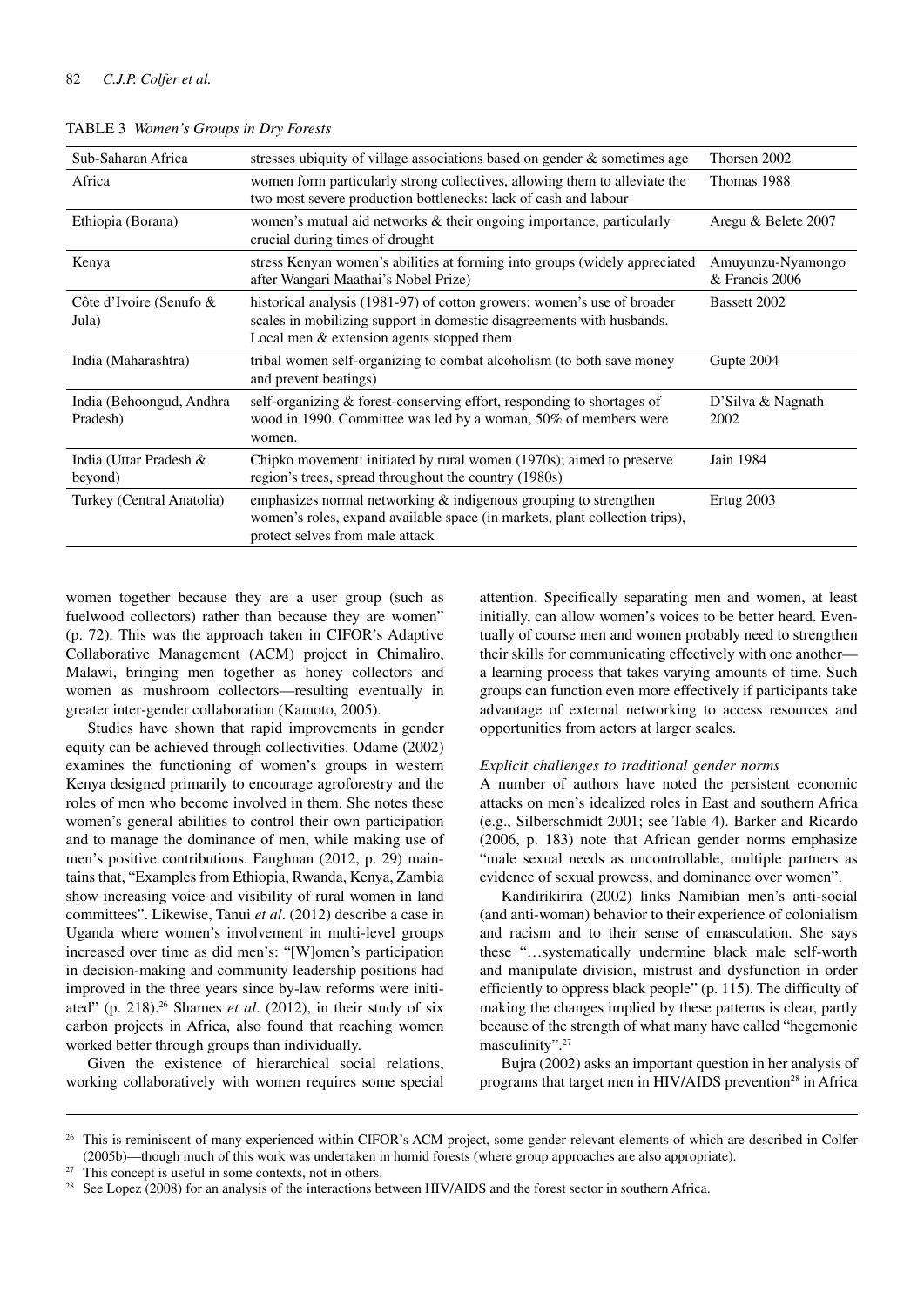| stresses ubiquity of village associations based on gender & sometimes age                                                                                                                     | Thorsen 2002                          |
|-----------------------------------------------------------------------------------------------------------------------------------------------------------------------------------------------|---------------------------------------|
| women form particularly strong collectives, allowing them to alleviate the<br>two most severe production bottlenecks: lack of cash and labour                                                 | Thomas 1988                           |
| women's mutual aid networks $\&$ their ongoing importance, particularly<br>crucial during times of drought                                                                                    | Aregu & Belete 2007                   |
| stress Kenyan women's abilities at forming into groups (widely appreciated<br>after Wangari Maathai's Nobel Prize)                                                                            | Amuyunzu-Nyamongo<br>$&$ Francis 2006 |
| historical analysis (1981-97) of cotton growers; women's use of broader<br>scales in mobilizing support in domestic disagreements with husbands.<br>Local men & extension agents stopped them | Bassett 2002                          |
| tribal women self-organizing to combat alcoholism (to both save money<br>and prevent beatings)                                                                                                | Gupte 2004                            |
| self-organizing & forest-conserving effort, responding to shortages of<br>wood in 1990. Committee was led by a woman, 50% of members were<br>women.                                           | D'Silva & Nagnath<br>2002             |
| Chipko movement: initiated by rural women (1970s); aimed to preserve<br>region's trees, spread throughout the country (1980s)                                                                 | Jain 1984                             |
| emphasizes normal networking $\&$ indigenous grouping to strengthen<br>women's roles, expand available space (in markets, plant collection trips),<br>protect selves from male attack         | Ertug 2003                            |
|                                                                                                                                                                                               |                                       |

Table 3 *Women's Groups in Dry Forests*

women together because they are a user group (such as fuelwood collectors) rather than because they are women" (p. 72). This was the approach taken in CIFOR's Adaptive Collaborative Management (ACM) project in Chimaliro, Malawi, bringing men together as honey collectors and women as mushroom collectors—resulting eventually in greater inter-gender collaboration (Kamoto, 2005).

Studies have shown that rapid improvements in gender equity can be achieved through collectivities. Odame (2002) examines the functioning of women's groups in western Kenya designed primarily to encourage agroforestry and the roles of men who become involved in them. She notes these women's general abilities to control their own participation and to manage the dominance of men, while making use of men's positive contributions. Faughnan (2012, p. 29) maintains that, "Examples from Ethiopia, Rwanda, Kenya, Zambia show increasing voice and visibility of rural women in land committees". Likewise, Tanui *et al*. (2012) describe a case in Uganda where women's involvement in multi-level groups increased over time as did men's: "[W]omen's participation in decision-making and community leadership positions had improved in the three years since by-law reforms were initiated" (p.  $218$ ).<sup>26</sup> Shames *et al.* (2012), in their study of six carbon projects in Africa, also found that reaching women worked better through groups than individually.

Given the existence of hierarchical social relations, working collaboratively with women requires some special attention. Specifically separating men and women, at least initially, can allow women's voices to be better heard. Eventually of course men and women probably need to strengthen their skills for communicating effectively with one another a learning process that takes varying amounts of time. Such groups can function even more effectively if participants take advantage of external networking to access resources and opportunities from actors at larger scales.

#### *Explicit challenges to traditional gender norms*

A number of authors have noted the persistent economic attacks on men's idealized roles in East and southern Africa (e.g., Silberschmidt 2001; see Table 4). Barker and Ricardo (2006, p. 183) note that African gender norms emphasize "male sexual needs as uncontrollable, multiple partners as evidence of sexual prowess, and dominance over women".

Kandirikirira (2002) links Namibian men's anti-social (and anti-woman) behavior to their experience of colonialism and racism and to their sense of emasculation. She says these "…systematically undermine black male self-worth and manipulate division, mistrust and dysfunction in order efficiently to oppress black people" (p. 115). The difficulty of making the changes implied by these patterns is clear, partly because of the strength of what many have called "hegemonic masculinity".27

Bujra (2002) asks an important question in her analysis of programs that target men in HIV/AIDS prevention<sup>28</sup> in Africa

<sup>&</sup>lt;sup>26</sup> This is reminiscent of many experienced within CIFOR's ACM project, some gender-relevant elements of which are described in Colfer (2005b)—though much of this work was undertaken in humid forests (where group approaches are also appropriate).

<sup>&</sup>lt;sup>27</sup> This concept is useful in some contexts, not in others.<br><sup>28</sup> See Lonez (2008) for an analysis of the interactions be

See Lopez (2008) for an analysis of the interactions between HIV/AIDS and the forest sector in southern Africa.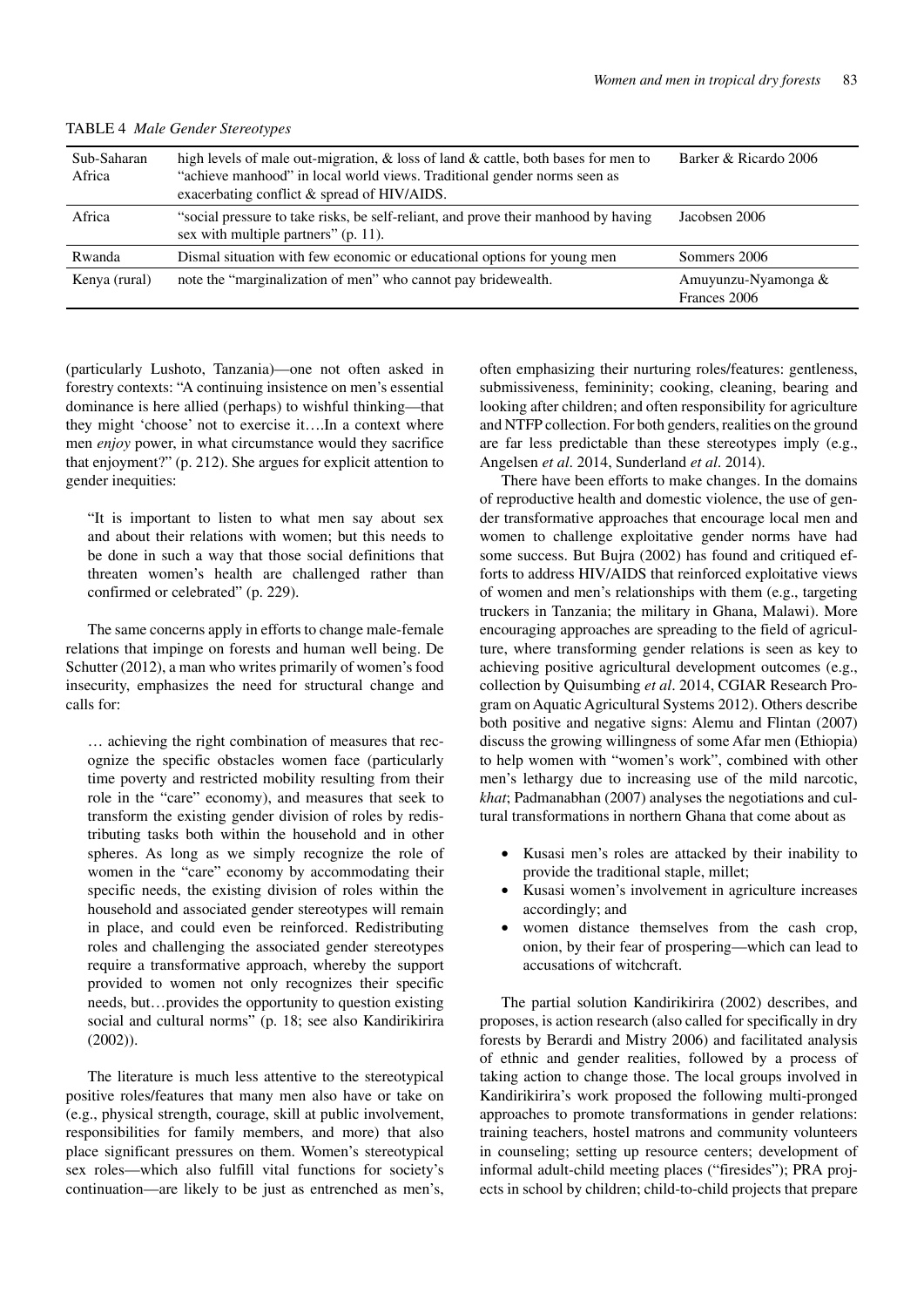| Sub-Saharan<br>Africa | high levels of male out-migration, $\&$ loss of land $\&$ cattle, both bases for men to<br>"achieve manhood" in local world views. Traditional gender norms seen as<br>exacerbating conflict & spread of HIV/AIDS. | Barker & Ricardo 2006               |
|-----------------------|--------------------------------------------------------------------------------------------------------------------------------------------------------------------------------------------------------------------|-------------------------------------|
| Africa                | "social pressure to take risks, be self-reliant, and prove their manhood by having<br>sex with multiple partners" (p. 11).                                                                                         | Jacobsen 2006                       |
| Rwanda                | Dismal situation with few economic or educational options for young men                                                                                                                                            | Sommers 2006                        |
| Kenya (rural)         | note the "marginalization of men" who cannot pay bride wealth.                                                                                                                                                     | Amuyunzu-Nyamonga &<br>Frances 2006 |

Table 4 *Male Gender Stereotypes*

(particularly Lushoto, Tanzania)—one not often asked in forestry contexts: "A continuing insistence on men's essential dominance is here allied (perhaps) to wishful thinking—that they might 'choose' not to exercise it….In a context where men *enjoy* power, in what circumstance would they sacrifice that enjoyment?" (p. 212). She argues for explicit attention to gender inequities:

"It is important to listen to what men say about sex and about their relations with women; but this needs to be done in such a way that those social definitions that threaten women's health are challenged rather than confirmed or celebrated" (p. 229).

The same concerns apply in efforts to change male-female relations that impinge on forests and human well being. De Schutter (2012), a man who writes primarily of women's food insecurity, emphasizes the need for structural change and calls for:

… achieving the right combination of measures that recognize the specific obstacles women face (particularly time poverty and restricted mobility resulting from their role in the "care" economy), and measures that seek to transform the existing gender division of roles by redistributing tasks both within the household and in other spheres. As long as we simply recognize the role of women in the "care" economy by accommodating their specific needs, the existing division of roles within the household and associated gender stereotypes will remain in place, and could even be reinforced. Redistributing roles and challenging the associated gender stereotypes require a transformative approach, whereby the support provided to women not only recognizes their specific needs, but…provides the opportunity to question existing social and cultural norms" (p. 18; see also Kandirikirira (2002)).

The literature is much less attentive to the stereotypical positive roles/features that many men also have or take on (e.g., physical strength, courage, skill at public involvement, responsibilities for family members, and more) that also place significant pressures on them. Women's stereotypical sex roles—which also fulfill vital functions for society's continuation—are likely to be just as entrenched as men's,

often emphasizing their nurturing roles/features: gentleness, submissiveness, femininity; cooking, cleaning, bearing and looking after children; and often responsibility for agriculture and NTFP collection. For both genders, realities on the ground are far less predictable than these stereotypes imply (e.g., Angelsen *et al*. 2014, Sunderland *et al*. 2014).

There have been efforts to make changes. In the domains of reproductive health and domestic violence, the use of gender transformative approaches that encourage local men and women to challenge exploitative gender norms have had some success. But Bujra (2002) has found and critiqued efforts to address HIV/AIDS that reinforced exploitative views of women and men's relationships with them (e.g., targeting truckers in Tanzania; the military in Ghana, Malawi). More encouraging approaches are spreading to the field of agriculture, where transforming gender relations is seen as key to achieving positive agricultural development outcomes (e.g., collection by Quisumbing *et al*. 2014, CGIAR Research Program on Aquatic Agricultural Systems 2012). Others describe both positive and negative signs: Alemu and Flintan (2007) discuss the growing willingness of some Afar men (Ethiopia) to help women with "women's work", combined with other men's lethargy due to increasing use of the mild narcotic, *khat*; Padmanabhan (2007) analyses the negotiations and cultural transformations in northern Ghana that come about as

- • Kusasi men's roles are attacked by their inability to provide the traditional staple, millet;
- • Kusasi women's involvement in agriculture increases accordingly; and
- • women distance themselves from the cash crop, onion, by their fear of prospering—which can lead to accusations of witchcraft.

The partial solution Kandirikirira (2002) describes, and proposes, is action research (also called for specifically in dry forests by Berardi and Mistry 2006) and facilitated analysis of ethnic and gender realities, followed by a process of taking action to change those. The local groups involved in Kandirikirira's work proposed the following multi-pronged approaches to promote transformations in gender relations: training teachers, hostel matrons and community volunteers in counseling; setting up resource centers; development of informal adult-child meeting places ("firesides"); PRA projects in school by children; child-to-child projects that prepare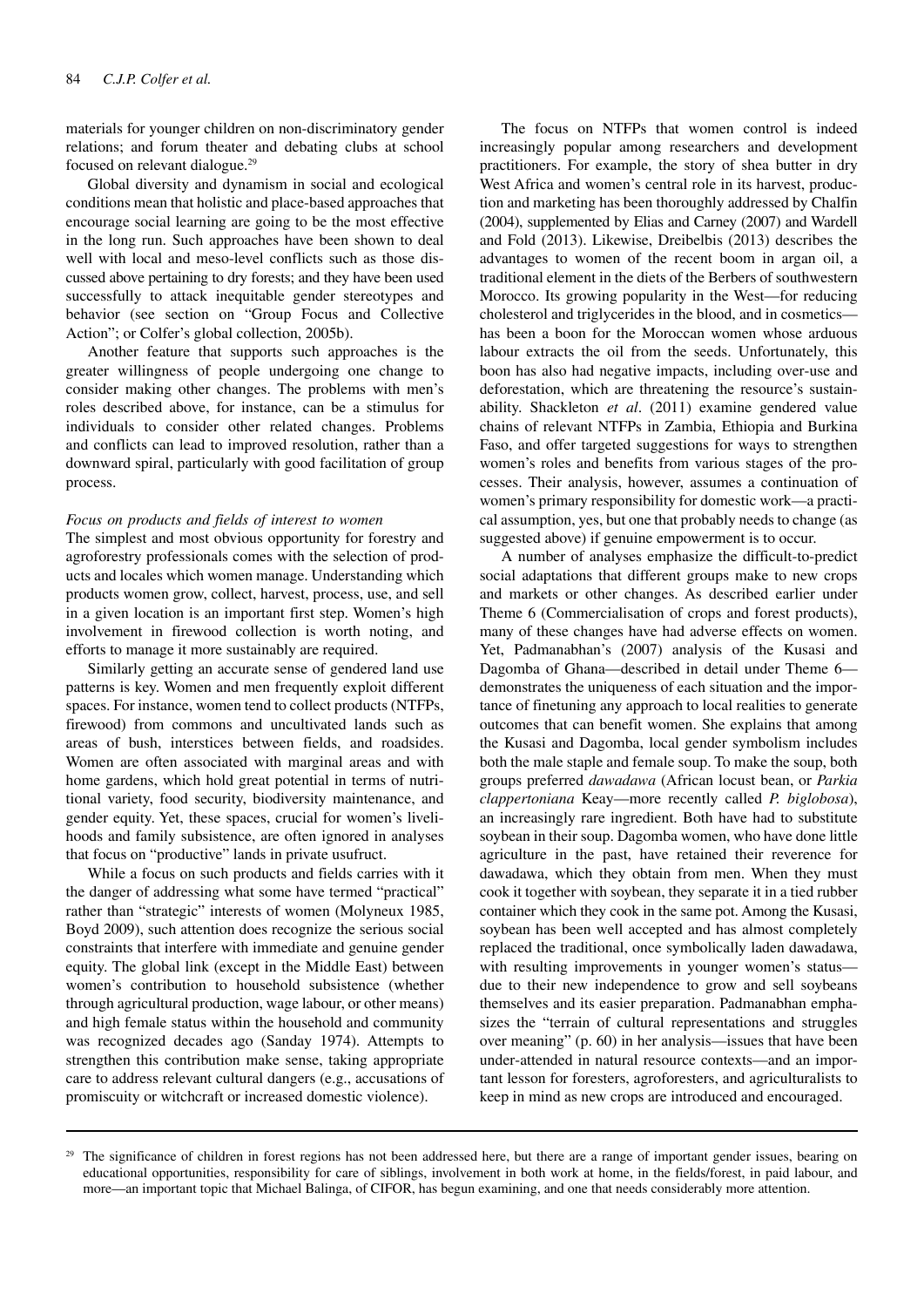materials for younger children on non-discriminatory gender relations; and forum theater and debating clubs at school focused on relevant dialogue.29

Global diversity and dynamism in social and ecological conditions mean that holistic and place-based approaches that encourage social learning are going to be the most effective in the long run. Such approaches have been shown to deal well with local and meso-level conflicts such as those discussed above pertaining to dry forests; and they have been used successfully to attack inequitable gender stereotypes and behavior (see section on "Group Focus and Collective Action"; or Colfer's global collection, 2005b).

Another feature that supports such approaches is the greater willingness of people undergoing one change to consider making other changes. The problems with men's roles described above, for instance, can be a stimulus for individuals to consider other related changes. Problems and conflicts can lead to improved resolution, rather than a downward spiral, particularly with good facilitation of group process.

#### *Focus on products and fields of interest to women*

The simplest and most obvious opportunity for forestry and agroforestry professionals comes with the selection of products and locales which women manage. Understanding which products women grow, collect, harvest, process, use, and sell in a given location is an important first step. Women's high involvement in firewood collection is worth noting, and efforts to manage it more sustainably are required.

Similarly getting an accurate sense of gendered land use patterns is key. Women and men frequently exploit different spaces. For instance, women tend to collect products (NTFPs, firewood) from commons and uncultivated lands such as areas of bush, interstices between fields, and roadsides. Women are often associated with marginal areas and with home gardens, which hold great potential in terms of nutritional variety, food security, biodiversity maintenance, and gender equity. Yet, these spaces, crucial for women's livelihoods and family subsistence, are often ignored in analyses that focus on "productive" lands in private usufruct.

While a focus on such products and fields carries with it the danger of addressing what some have termed "practical" rather than "strategic" interests of women (Molyneux 1985, Boyd 2009), such attention does recognize the serious social constraints that interfere with immediate and genuine gender equity. The global link (except in the Middle East) between women's contribution to household subsistence (whether through agricultural production, wage labour, or other means) and high female status within the household and community was recognized decades ago (Sanday 1974). Attempts to strengthen this contribution make sense, taking appropriate care to address relevant cultural dangers (e.g., accusations of promiscuity or witchcraft or increased domestic violence).

The focus on NTFPs that women control is indeed increasingly popular among researchers and development practitioners. For example, the story of shea butter in dry West Africa and women's central role in its harvest, production and marketing has been thoroughly addressed by Chalfin (2004), supplemented by Elias and Carney (2007) and Wardell and Fold (2013). Likewise, Dreibelbis (2013) describes the advantages to women of the recent boom in argan oil, a traditional element in the diets of the Berbers of southwestern Morocco. Its growing popularity in the West—for reducing cholesterol and triglycerides in the blood, and in cosmetics has been a boon for the Moroccan women whose arduous labour extracts the oil from the seeds. Unfortunately, this boon has also had negative impacts, including over-use and deforestation, which are threatening the resource's sustainability. Shackleton *et al*. (2011) examine gendered value chains of relevant NTFPs in Zambia, Ethiopia and Burkina Faso, and offer targeted suggestions for ways to strengthen women's roles and benefits from various stages of the processes. Their analysis, however, assumes a continuation of women's primary responsibility for domestic work—a practical assumption, yes, but one that probably needs to change (as suggested above) if genuine empowerment is to occur.

A number of analyses emphasize the difficult-to-predict social adaptations that different groups make to new crops and markets or other changes. As described earlier under Theme 6 (Commercialisation of crops and forest products), many of these changes have had adverse effects on women. Yet, Padmanabhan's (2007) analysis of the Kusasi and Dagomba of Ghana—described in detail under Theme 6 demonstrates the uniqueness of each situation and the importance of finetuning any approach to local realities to generate outcomes that can benefit women. She explains that among the Kusasi and Dagomba, local gender symbolism includes both the male staple and female soup. To make the soup, both groups preferred *dawadawa* (African locust bean, or *Parkia clappertoniana* Keay—more recently called *P. biglobosa*), an increasingly rare ingredient. Both have had to substitute soybean in their soup. Dagomba women, who have done little agriculture in the past, have retained their reverence for dawadawa, which they obtain from men. When they must cook it together with soybean, they separate it in a tied rubber container which they cook in the same pot. Among the Kusasi, soybean has been well accepted and has almost completely replaced the traditional, once symbolically laden dawadawa, with resulting improvements in younger women's status due to their new independence to grow and sell soybeans themselves and its easier preparation. Padmanabhan emphasizes the "terrain of cultural representations and struggles over meaning" (p. 60) in her analysis—issues that have been under-attended in natural resource contexts—and an important lesson for foresters, agroforesters, and agriculturalists to keep in mind as new crops are introduced and encouraged.

<sup>&</sup>lt;sup>29</sup> The significance of children in forest regions has not been addressed here, but there are a range of important gender issues, bearing on educational opportunities, responsibility for care of siblings, involvement in both work at home, in the fields/forest, in paid labour, and more—an important topic that Michael Balinga, of CIFOR, has begun examining, and one that needs considerably more attention.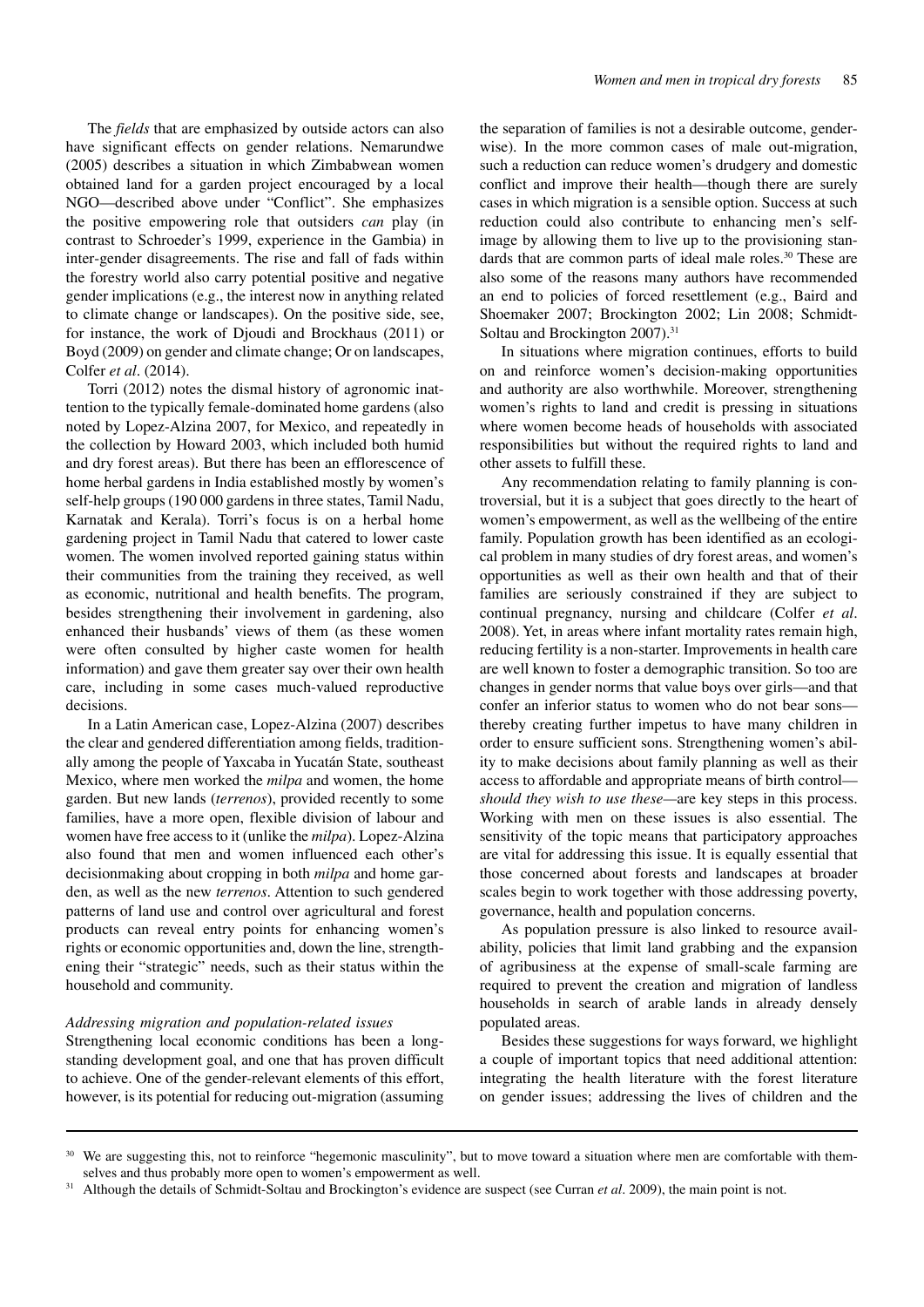The *fields* that are emphasized by outside actors can also have significant effects on gender relations. Nemarundwe (2005) describes a situation in which Zimbabwean women obtained land for a garden project encouraged by a local NGO—described above under "Conflict". She emphasizes the positive empowering role that outsiders *can* play (in contrast to Schroeder's 1999, experience in the Gambia) in inter-gender disagreements. The rise and fall of fads within the forestry world also carry potential positive and negative gender implications (e.g., the interest now in anything related to climate change or landscapes). On the positive side, see, for instance, the work of Djoudi and Brockhaus (2011) or Boyd (2009) on gender and climate change; Or on landscapes, Colfer *et al*. (2014).

Torri (2012) notes the dismal history of agronomic inattention to the typically female-dominated home gardens (also noted by Lopez-Alzina 2007, for Mexico, and repeatedly in the collection by Howard 2003, which included both humid and dry forest areas). But there has been an efflorescence of home herbal gardens in India established mostly by women's self-help groups (190 000 gardens in three states, Tamil Nadu, Karnatak and Kerala). Torri's focus is on a herbal home gardening project in Tamil Nadu that catered to lower caste women. The women involved reported gaining status within their communities from the training they received, as well as economic, nutritional and health benefits. The program, besides strengthening their involvement in gardening, also enhanced their husbands' views of them (as these women were often consulted by higher caste women for health information) and gave them greater say over their own health care, including in some cases much-valued reproductive decisions.

In a Latin American case, Lopez-Alzina (2007) describes the clear and gendered differentiation among fields, traditionally among the people of Yaxcaba in Yucatán State, southeast Mexico, where men worked the *milpa* and women, the home garden. But new lands (*terrenos*), provided recently to some families, have a more open, flexible division of labour and women have free access to it (unlike the *milpa*). Lopez-Alzina also found that men and women influenced each other's decisionmaking about cropping in both *milpa* and home garden, as well as the new *terrenos*. Attention to such gendered patterns of land use and control over agricultural and forest products can reveal entry points for enhancing women's rights or economic opportunities and, down the line, strengthening their "strategic" needs, such as their status within the household and community.

#### *Addressing migration and population-related issues*

Strengthening local economic conditions has been a longstanding development goal, and one that has proven difficult to achieve. One of the gender-relevant elements of this effort, however, is its potential for reducing out-migration (assuming

the separation of families is not a desirable outcome, genderwise). In the more common cases of male out-migration, such a reduction can reduce women's drudgery and domestic conflict and improve their health—though there are surely cases in which migration is a sensible option. Success at such reduction could also contribute to enhancing men's selfimage by allowing them to live up to the provisioning standards that are common parts of ideal male roles.<sup>30</sup> These are also some of the reasons many authors have recommended an end to policies of forced resettlement (e.g., Baird and Shoemaker 2007; Brockington 2002; Lin 2008; Schmidt-Soltau and Brockington 2007).<sup>31</sup>

In situations where migration continues, efforts to build on and reinforce women's decision-making opportunities and authority are also worthwhile. Moreover, strengthening women's rights to land and credit is pressing in situations where women become heads of households with associated responsibilities but without the required rights to land and other assets to fulfill these.

Any recommendation relating to family planning is controversial, but it is a subject that goes directly to the heart of women's empowerment, as well as the wellbeing of the entire family. Population growth has been identified as an ecological problem in many studies of dry forest areas, and women's opportunities as well as their own health and that of their families are seriously constrained if they are subject to continual pregnancy, nursing and childcare (Colfer *et al*. 2008). Yet, in areas where infant mortality rates remain high, reducing fertility is a non-starter. Improvements in health care are well known to foster a demographic transition. So too are changes in gender norms that value boys over girls—and that confer an inferior status to women who do not bear sons thereby creating further impetus to have many children in order to ensure sufficient sons. Strengthening women's ability to make decisions about family planning as well as their access to affordable and appropriate means of birth control *should they wish to use these—*are key steps in this process. Working with men on these issues is also essential. The sensitivity of the topic means that participatory approaches are vital for addressing this issue. It is equally essential that those concerned about forests and landscapes at broader scales begin to work together with those addressing poverty, governance, health and population concerns.

As population pressure is also linked to resource availability, policies that limit land grabbing and the expansion of agribusiness at the expense of small-scale farming are required to prevent the creation and migration of landless households in search of arable lands in already densely populated areas.

Besides these suggestions for ways forward, we highlight a couple of important topics that need additional attention: integrating the health literature with the forest literature on gender issues; addressing the lives of children and the

<sup>&</sup>lt;sup>30</sup> We are suggesting this, not to reinforce "hegemonic masculinity", but to move toward a situation where men are comfortable with themselves and thus probably more open to women's empowerment as well.

<sup>&</sup>lt;sup>31</sup> Although the details of Schmidt-Soltau and Brockington's evidence are suspect (see Curran *et al.* 2009), the main point is not.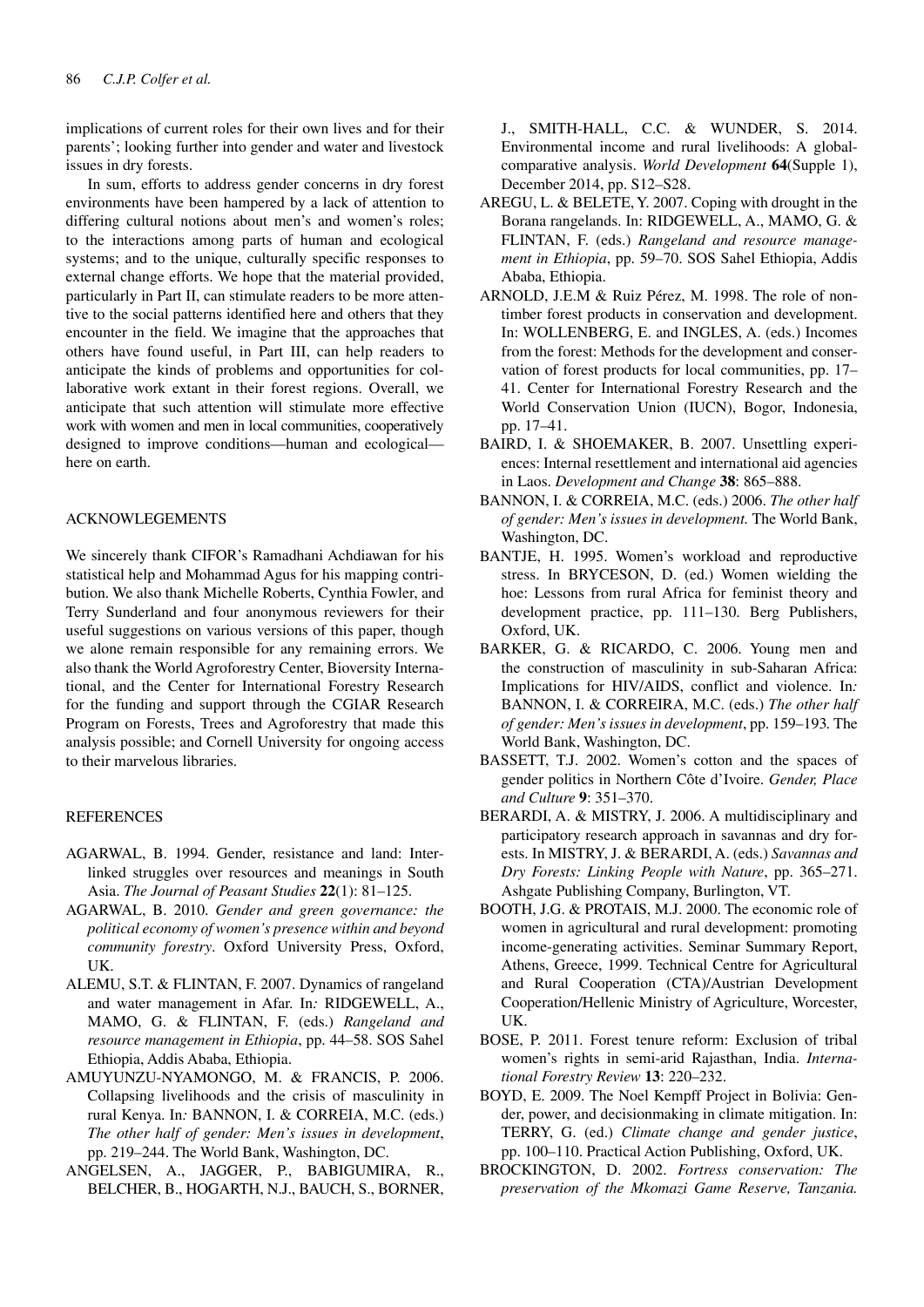implications of current roles for their own lives and for their parents'; looking further into gender and water and livestock issues in dry forests.

In sum, efforts to address gender concerns in dry forest environments have been hampered by a lack of attention to differing cultural notions about men's and women's roles; to the interactions among parts of human and ecological systems; and to the unique, culturally specific responses to external change efforts. We hope that the material provided, particularly in Part II, can stimulate readers to be more attentive to the social patterns identified here and others that they encounter in the field. We imagine that the approaches that others have found useful, in Part III, can help readers to anticipate the kinds of problems and opportunities for collaborative work extant in their forest regions. Overall, we anticipate that such attention will stimulate more effective work with women and men in local communities, cooperatively designed to improve conditions—human and ecological here on earth.

#### ACKNOWLEGEMENTS

We sincerely thank CIFOR's Ramadhani Achdiawan for his statistical help and Mohammad Agus for his mapping contribution. We also thank Michelle Roberts, Cynthia Fowler, and Terry Sunderland and four anonymous reviewers for their useful suggestions on various versions of this paper, though we alone remain responsible for any remaining errors. We also thank the World Agroforestry Center, Bioversity International, and the Center for International Forestry Research for the funding and support through the CGIAR Research Program on Forests, Trees and Agroforestry that made this analysis possible; and Cornell University for ongoing access to their marvelous libraries.

# **REFERENCES**

- AGARWAL, B. 1994. Gender, resistance and land: Interlinked struggles over resources and meanings in South Asia. *The Journal of Peasant Studies* **22**(1): 81–125.
- AGARWAL, B. 2010. *Gender and green governance: the political economy of women's presence within and beyond community forestry*. Oxford University Press, Oxford, UK.
- ALEMU, S.T. & FLINTAN, F. 2007. Dynamics of rangeland and water management in Afar. In*:* RIDGEWELL, A., MAMO, G. & FLINTAN, F. (eds.) *Rangeland and resource management in Ethiopia*, pp. 44–58. SOS Sahel Ethiopia, Addis Ababa, Ethiopia.
- AMUYUNZU-NYAMONGO, M. & FRANCIS, P. 2006. Collapsing livelihoods and the crisis of masculinity in rural Kenya. In*:* BANNON, I. & CORREIA, M.C. (eds.) *The other half of gender: Men's issues in development*, pp. 219–244. The World Bank, Washington, DC.
- ANGELSEN, A., JAGGER, P., BABIGUMIRA, R., BELCHER, B., HOGARTH, N.J., BAUCH, S., BORNER,

J., SMITH-HALL, C.C. & WUNDER, S. 2014. Environmental income and rural livelihoods: A globalcomparative analysis. *World Development* **64**(Supple 1), December 2014, pp. S12–S28.

- AREGU, L. & BELETE, Y. 2007. Coping with drought in the Borana rangelands. In: RIDGEWELL, A., MAMO, G. & FLINTAN, F. (eds.) *Rangeland and resource management in Ethiopia*, pp. 59–70. SOS Sahel Ethiopia, Addis Ababa, Ethiopia.
- ARNOLD, J.E.M & Ruiz Pérez, M. 1998. The role of nontimber forest products in conservation and development. In: WOLLENBERG, E. and INGLES, A. (eds.) Incomes from the forest: Methods for the development and conservation of forest products for local communities, pp. 17– 41. Center for International Forestry Research and the World Conservation Union (IUCN), Bogor, Indonesia, pp. 17–41.
- BAIRD, I. & SHOEMAKER, B. 2007. Unsettling experiences: Internal resettlement and international aid agencies in Laos. *Development and Change* **38**: 865–888.
- BANNON, I. & CORREIA, M.C. (eds.) 2006. *The other half of gender: Men's issues in development.* The World Bank, Washington, DC.
- BANTJE, H. 1995. Women's workload and reproductive stress. In BRYCESON, D. (ed.) Women wielding the hoe: Lessons from rural Africa for feminist theory and development practice, pp. 111–130. Berg Publishers, Oxford, UK.
- BARKER, G. & RICARDO, C. 2006. Young men and the construction of masculinity in sub-Saharan Africa: Implications for HIV/AIDS, conflict and violence. In*:* BANNON, I. & CORREIRA, M.C. (eds.) *The other half of gender: Men's issues in development*, pp. 159–193*.* The World Bank, Washington, DC.
- BASSETT, T.J. 2002. Women's cotton and the spaces of gender politics in Northern Côte d'Ivoire. *Gender, Place and Culture* **9**: 351–370.
- BERARDI, A. & MISTRY, J. 2006. A multidisciplinary and participatory research approach in savannas and dry forests. In MISTRY, J. & BERARDI, A. (eds.) *Savannas and Dry Forests: Linking People with Nature*, pp. 365–271. Ashgate Publishing Company, Burlington, VT.
- BOOTH, J.G. & PROTAIS, M.J. 2000. The economic role of women in agricultural and rural development: promoting income-generating activities. Seminar Summary Report, Athens, Greece, 1999. Technical Centre for Agricultural and Rural Cooperation (CTA)/Austrian Development Cooperation/Hellenic Ministry of Agriculture, Worcester, UK.
- BOSE, P. 2011. Forest tenure reform: Exclusion of tribal women's rights in semi-arid Rajasthan, India. *International Forestry Review* **13**: 220–232.
- BOYD, E. 2009. The Noel Kempff Project in Bolivia: Gender, power, and decisionmaking in climate mitigation. In: TERRY, G. (ed.) *Climate change and gender justice*, pp. 100–110. Practical Action Publishing, Oxford, UK.
- BROCKINGTON, D. 2002. *Fortress conservation: The preservation of the Mkomazi Game Reserve, Tanzania.*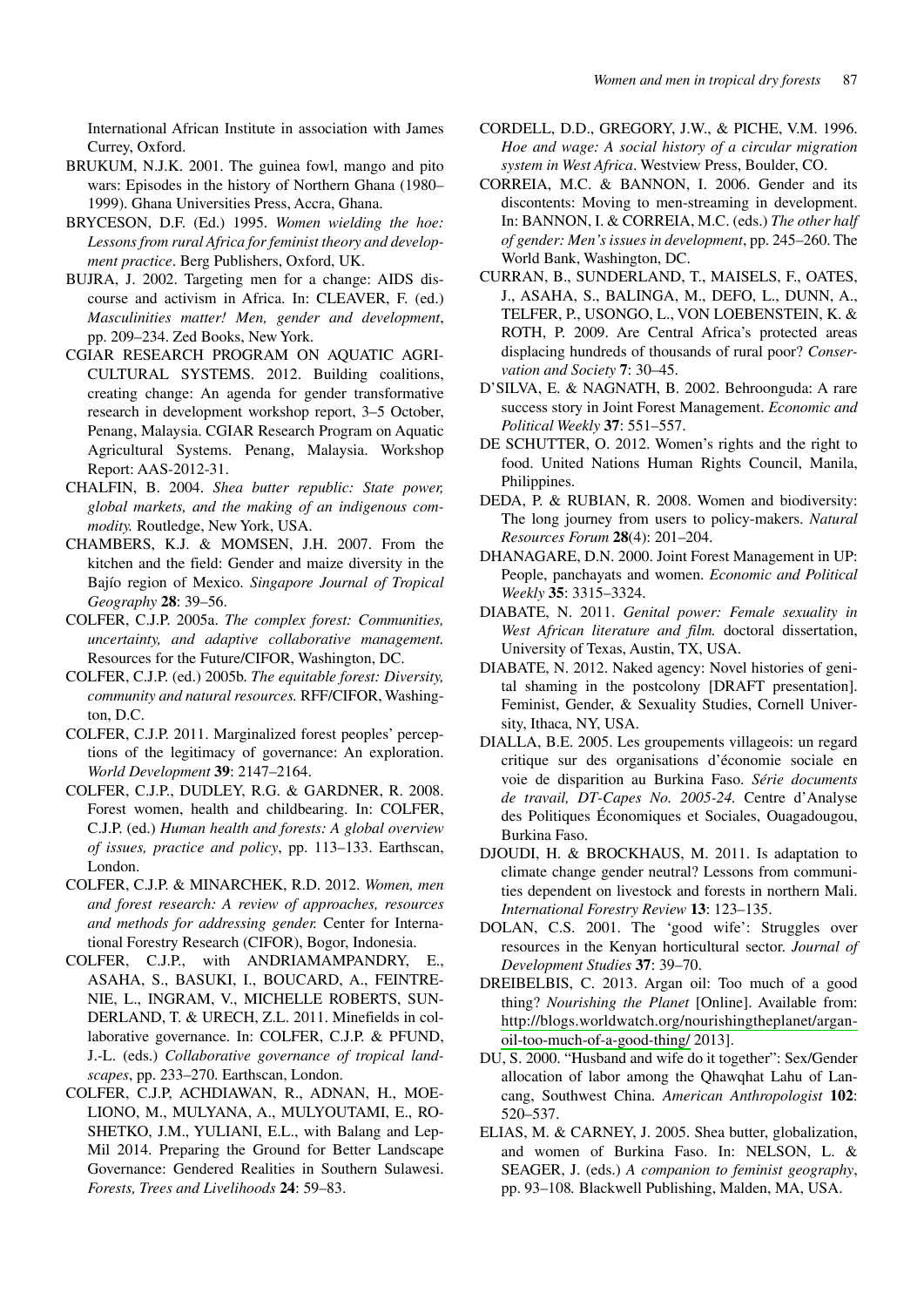International African Institute in association with James Currey, Oxford.

- BRUKUM, N.J.K. 2001. The guinea fowl, mango and pito wars: Episodes in the history of Northern Ghana (1980– 1999). Ghana Universities Press, Accra, Ghana.
- BRYCESON, D.F. (Ed.) 1995. *Women wielding the hoe: Lessons from rural Africa for feminist theory and development practice*. Berg Publishers, Oxford, UK.
- BUJRA, J. 2002. Targeting men for a change: AIDS discourse and activism in Africa. In: CLEAVER, F. (ed.) *Masculinities matter! Men, gender and development*, pp. 209–234. Zed Books, New York.
- CGIAR RESEARCH PROGRAM ON AQUATIC AGRI-CULTURAL SYSTEMS. 2012. Building coalitions, creating change: An agenda for gender transformative research in development workshop report, 3–5 October, Penang, Malaysia. CGIAR Research Program on Aquatic Agricultural Systems. Penang, Malaysia. Workshop Report: AAS-2012-31.
- CHALFIN, B. 2004. *Shea butter republic: State power, global markets, and the making of an indigenous commodity.* Routledge, New York, USA.
- CHAMBERS, K.J. & MOMSEN, J.H. 2007. From the kitchen and the field: Gender and maize diversity in the Bajío region of Mexico. *Singapore Journal of Tropical Geography* **28**: 39–56.
- COLFER, C.J.P. 2005a. *The complex forest: Communities, uncertainty, and adaptive collaborative management.*  Resources for the Future/CIFOR, Washington, DC.
- COLFER, C.J.P. (ed.) 2005b. *The equitable forest: Diversity, community and natural resources.* RFF/CIFOR, Washington, D.C.
- COLFER, C.J.P. 2011. Marginalized forest peoples' perceptions of the legitimacy of governance: An exploration. *World Development* **39**: 2147–2164.
- COLFER, C.J.P., DUDLEY, R.G. & GARDNER, R. 2008. Forest women, health and childbearing. In: COLFER, C.J.P. (ed.) *Human health and forests: A global overview of issues, practice and policy*, pp. 113–133. Earthscan, London.
- COLFER, C.J.P. & MINARCHEK, R.D. 2012. *Women, men and forest research: A review of approaches, resources and methods for addressing gender.* Center for International Forestry Research (CIFOR), Bogor, Indonesia.
- COLFER, C.J.P., with ANDRIAMAMPANDRY, E., ASAHA, S., BASUKI, I., BOUCARD, A., FEINTRE-NIE, L., INGRAM, V., MICHELLE ROBERTS, SUN-DERLAND, T. & URECH, Z.L. 2011. Minefields in collaborative governance. In: COLFER, C.J.P. & PFUND, J.-L. (eds.) *Collaborative governance of tropical landscapes*, pp. 233–270. Earthscan, London.
- COLFER, C.J.P, ACHDIAWAN, R., ADNAN, H., MOE-LIONO, M., MULYANA, A., MULYOUTAMI, E., RO-SHETKO, J.M., YULIANI, E.L., with Balang and Lep-Mil 2014. Preparing the Ground for Better Landscape Governance: Gendered Realities in Southern Sulawesi. *Forests, Trees and Livelihoods* **24**: 59–83.
- CORDELL, D.D., GREGORY, J.W., & PICHE, V.M. 1996. *Hoe and wage: A social history of a circular migration system in West Africa*. Westview Press, Boulder, CO.
- CORREIA, M.C. & BANNON, I. 2006. Gender and its discontents: Moving to men-streaming in development. In: BANNON, I. & CORREIA, M.C. (eds.) *The other half of gender: Men's issues in development*, pp. 245–260. The World Bank, Washington, DC.
- CURRAN, B., SUNDERLAND, T., MAISELS, F., OATES, J., ASAHA, S., BALINGA, M., DEFO, L., DUNN, A., TELFER, P., USONGO, L., VON LOEBENSTEIN, K. & ROTH, P. 2009. Are Central Africa's protected areas displacing hundreds of thousands of rural poor? *Conservation and Society* **7**: 30–45.
- D'SILVA, E. & NAGNATH, B. 2002. Behroonguda: A rare success story in Joint Forest Management. *Economic and Political Weekly* **37**: 551–557.
- DE SCHUTTER, O. 2012. Women's rights and the right to food. United Nations Human Rights Council, Manila, Philippines.
- DEDA, P. & RUBIAN, R. 2008. Women and biodiversity: The long journey from users to policy-makers. *Natural Resources Forum* **28**(4): 201–204.
- DHANAGARE, D.N. 2000. Joint Forest Management in UP: People, panchayats and women. *Economic and Political Weekly* **35**: 3315–3324.
- DIABATE, N. 2011. *Genital power: Female sexuality in West African literature and film.* doctoral dissertation, University of Texas, Austin, TX, USA.
- DIABATE, N. 2012. Naked agency: Novel histories of genital shaming in the postcolony [DRAFT presentation]. Feminist, Gender, & Sexuality Studies, Cornell University, Ithaca, NY, USA.
- DIALLA, B.E. 2005. Les groupements villageois: un regard critique sur des organisations d'économie sociale en voie de disparition au Burkina Faso. *Série documents de travail, DT-Capes No. 2005-24.* Centre d'Analyse des Politiques Économiques et Sociales, Ouagadougou, Burkina Faso.
- DJOUDI, H. & BROCKHAUS, M. 2011. Is adaptation to climate change gender neutral? Lessons from communities dependent on livestock and forests in northern Mali. *International Forestry Review* **13**: 123–135.
- DOLAN, C.S. 2001. The 'good wife': Struggles over resources in the Kenyan horticultural sector. *Journal of Development Studies* **37**: 39–70.
- DREIBELBIS, C. 2013. Argan oil: Too much of a good thing? *Nourishing the Planet* [Online]. Available from: [http://blogs.worldwatch.org/nourishingtheplanet/argan](http://blogs.worldwatch.org/nourishingtheplanet/argan-oil-too-much-of-a-good-thing/)[oil-too-much-of-a-good-thing/](http://blogs.worldwatch.org/nourishingtheplanet/argan-oil-too-much-of-a-good-thing/) 2013].
- DU, S. 2000. "Husband and wife do it together": Sex/Gender allocation of labor among the Qhawqhat Lahu of Lancang, Southwest China. *American Anthropologist* **102**: 520–537.
- ELIAS, M. & CARNEY, J. 2005. Shea butter, globalization, and women of Burkina Faso. In: NELSON, L. & SEAGER, J. (eds.) *A companion to feminist geography*, pp. 93–108*.* Blackwell Publishing, Malden, MA, USA.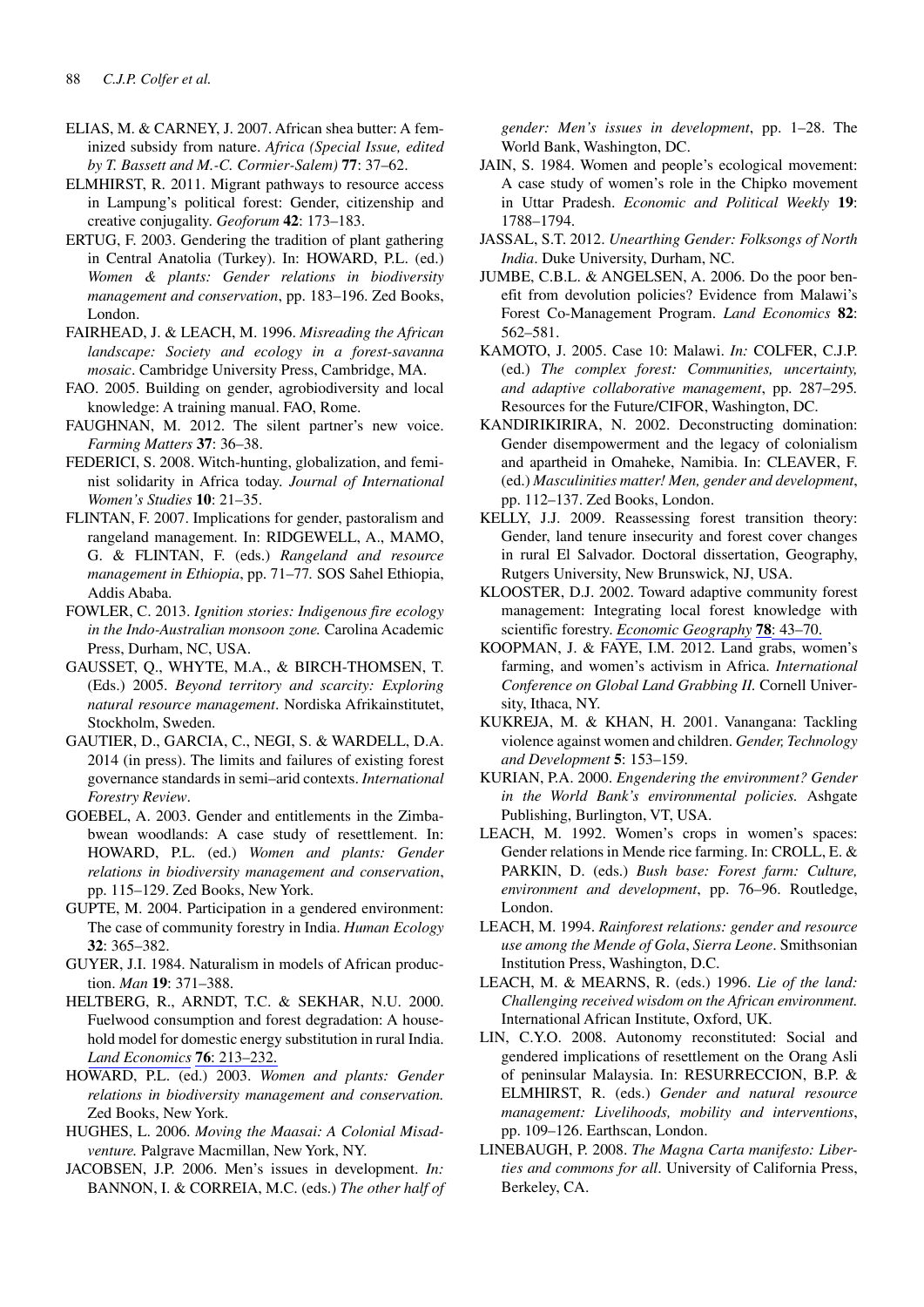- ELIAS, M. & CARNEY, J. 2007. African shea butter: A feminized subsidy from nature. *Africa (Special Issue, edited by T. Bassett and M.-C. Cormier-Salem)* **77**: 37–62.
- ELMHIRST, R. 2011. Migrant pathways to resource access in Lampung's political forest: Gender, citizenship and creative conjugality. *Geoforum* **42**: 173–183.
- ERTUG, F. 2003. Gendering the tradition of plant gathering in Central Anatolia (Turkey). In: HOWARD, P.L. (ed.) *Women & plants: Gender relations in biodiversity management and conservation*, pp. 183–196. Zed Books, London.
- FAIRHEAD, J. & LEACH, M. 1996. *Misreading the African landscape: Society and ecology in a forest-savanna mosaic*. Cambridge University Press, Cambridge, MA.
- FAO. 2005. Building on gender, agrobiodiversity and local knowledge: A training manual. FAO, Rome.
- FAUGHNAN, M. 2012. The silent partner's new voice. *Farming Matters* **37**: 36–38.
- FEDERICI, S. 2008. Witch-hunting, globalization, and feminist solidarity in Africa today. *Journal of International Women's Studies* **10**: 21–35.
- FLINTAN, F. 2007. Implications for gender, pastoralism and rangeland management. In: RIDGEWELL, A., MAMO, G. & FLINTAN, F. (eds.) *Rangeland and resource management in Ethiopia*, pp. 71–77*.* SOS Sahel Ethiopia, Addis Ababa.
- FOWLER, C. 2013. *Ignition stories: Indigenous fire ecology in the Indo-Australian monsoon zone.* Carolina Academic Press, Durham, NC, USA.
- GAUSSET, Q., WHYTE, M.A., & BIRCH-THOMSEN, T. (Eds.) 2005. *Beyond territory and scarcity: Exploring natural resource management*. Nordiska Afrikainstitutet, Stockholm, Sweden.
- GAUTIER, D., GARCIA, C., NEGI, S. & WARDELL, D.A. 2014 (in press). The limits and failures of existing forest governance standards in semi–arid contexts. *International Forestry Review*.
- GOEBEL, A. 2003. Gender and entitlements in the Zimbabwean woodlands: A case study of resettlement. In: HOWARD, P.L. (ed.) *Women and plants: Gender relations in biodiversity management and conservation*, pp. 115–129. Zed Books, New York.
- GUPTE, M. 2004. Participation in a gendered environment: The case of community forestry in India. *Human Ecology* **32**: 365–382.
- GUYER, J.I. 1984. Naturalism in models of African production. *Man* **19**: 371–388.
- HELTBERG, R., ARNDT, T.C. & SEKHAR, N.U. 2000. Fuelwood consumption and forest degradation: A household model for domestic energy substitution in rural India. *[Land Economics](http://www.ingentaconnect.com/content/external-references?article=0023-7639()76L.213[aid=7005732])* **76**[: 213–232.](http://www.ingentaconnect.com/content/external-references?article=0023-7639()76L.213[aid=7005732])
- HOWARD, P.L. (ed.) 2003. *Women and plants: Gender relations in biodiversity management and conservation.*  Zed Books, New York.
- HUGHES, L. 2006. *Moving the Maasai: A Colonial Misadventure.* Palgrave Macmillan, New York, NY.
- JACOBSEN, J.P. 2006. Men's issues in development. *In:* BANNON, I. & CORREIA, M.C. (eds.) *The other half of*

*gender: Men's issues in development*, pp. 1–28. The World Bank, Washington, DC.

- JAIN, S. 1984. Women and people's ecological movement: A case study of women's role in the Chipko movement in Uttar Pradesh. *Economic and Political Weekly* **19**: 1788–1794.
- JASSAL, S.T. 2012. *Unearthing Gender: Folksongs of North India*. Duke University, Durham, NC.
- JUMBE, C.B.L. & ANGELSEN, A. 2006. Do the poor benefit from devolution policies? Evidence from Malawi's Forest Co-Management Program. *Land Economics* **82**: 562–581.
- KAMOTO, J. 2005. Case 10: Malawi. *In:* COLFER, C.J.P. (ed.) *The complex forest: Communities, uncertainty, and adaptive collaborative management*, pp. 287–295*.* Resources for the Future/CIFOR, Washington, DC.
- KANDIRIKIRIRA, N. 2002. Deconstructing domination: Gender disempowerment and the legacy of colonialism and apartheid in Omaheke, Namibia. In: CLEAVER, F. (ed.) *Masculinities matter! Men, gender and development*, pp. 112–137. Zed Books, London.
- KELLY, J.J. 2009. Reassessing forest transition theory: Gender, land tenure insecurity and forest cover changes in rural El Salvador. Doctoral dissertation, Geography, Rutgers University, New Brunswick, NJ, USA.
- KLOOSTER, D.J. 2002. Toward adaptive community forest management: Integrating local forest knowledge with scientific forestry. *[Economic Geography](http://www.ingentaconnect.com/content/external-references?article=0013-0095()78L.43[aid=6500152])* **[78](http://www.ingentaconnect.com/content/external-references?article=0013-0095()78L.43[aid=6500152])**[: 43–70.](http://www.ingentaconnect.com/content/external-references?article=0013-0095()78L.43[aid=6500152])
- KOOPMAN, J. & FAYE, I.M. 2012. Land grabs, women's farming, and women's activism in Africa. *International Conference on Global Land Grabbing II.* Cornell University, Ithaca, NY.
- KUKREJA, M. & KHAN, H. 2001. Vanangana: Tackling violence against women and children. *Gender, Technology and Development* **5**: 153–159.
- KURIAN, P.A. 2000. *Engendering the environment? Gender in the World Bank's environmental policies.* Ashgate Publishing, Burlington, VT, USA.
- LEACH, M. 1992. Women's crops in women's spaces: Gender relations in Mende rice farming. In: CROLL, E. & PARKIN, D. (eds.) *Bush base: Forest farm: Culture, environment and development*, pp. 76–96. Routledge, London.
- LEACH, M. 1994. *Rainforest relations: gender and resource use among the Mende of Gola*, *Sierra Leone*. Smithsonian Institution Press, Washington, D.C.
- LEACH, M. & MEARNS, R. (eds.) 1996. *Lie of the land: Challenging received wisdom on the African environment.*  International African Institute, Oxford, UK.
- LIN, C.Y.O. 2008. Autonomy reconstituted: Social and gendered implications of resettlement on the Orang Asli of peninsular Malaysia. In: RESURRECCION, B.P. & ELMHIRST, R. (eds.) *Gender and natural resource management: Livelihoods, mobility and interventions*, pp. 109–126. Earthscan, London.
- LINEBAUGH, P. 2008. *The Magna Carta manifesto: Liberties and commons for all*. University of California Press, Berkeley, CA.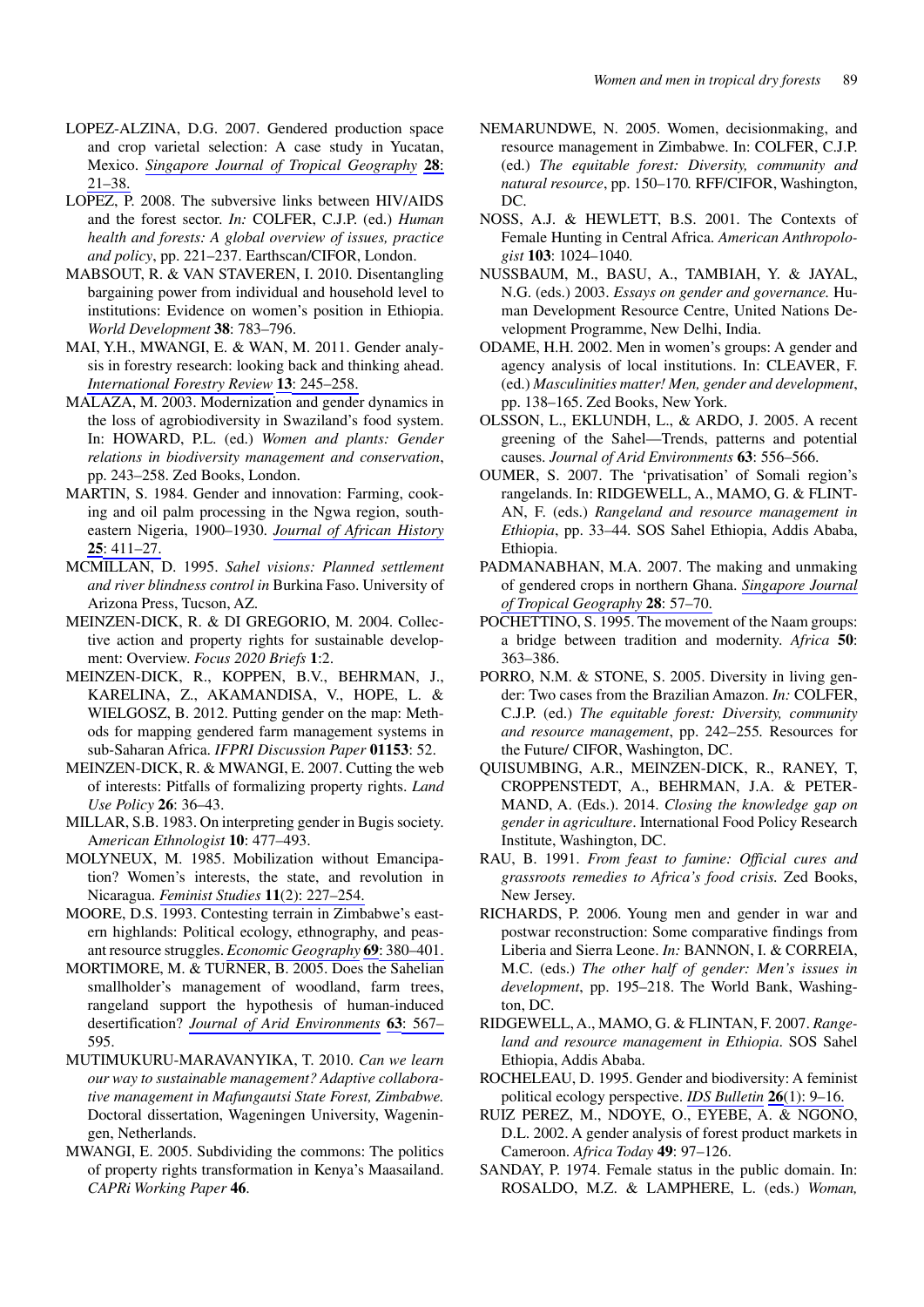- LOPEZ-ALZINA, D.G. 2007. Gendered production space and crop varietal selection: A case study in Yucatan, Mexico. *[Singapore Journal of Tropical Geography](http://www.ingentaconnect.com/content/external-references?article=0129-7619()28L.21[aid=10634494])* **[28](http://www.ingentaconnect.com/content/external-references?article=0129-7619()28L.21[aid=10634494])**: [21–38.](http://www.ingentaconnect.com/content/external-references?article=0129-7619()28L.21[aid=10634494])
- LOPEZ, P. 2008. The subversive links between HIV/AIDS and the forest sector. *In:* COLFER, C.J.P. (ed.) *Human health and forests: A global overview of issues, practice and policy*, pp. 221–237. Earthscan/CIFOR, London.
- MABSOUT, R. & VAN STAVEREN, I. 2010. Disentangling bargaining power from individual and household level to institutions: Evidence on women's position in Ethiopia. *World Development* **38**: 783–796.
- MAI, Y.H., MWANGI, E. & WAN, M. 2011. Gender analysis in forestry research: looking back and thinking ahead. *[International Forestry Review](http://www.ingentaconnect.com/content/external-references?article=1465-5489()13L.245[aid=10634492])* **[13](http://www.ingentaconnect.com/content/external-references?article=1465-5489()13L.245[aid=10634492])**[: 245–258.](http://www.ingentaconnect.com/content/external-references?article=1465-5489()13L.245[aid=10634492])
- MALAZA, M. 2003. Modernization and gender dynamics in the loss of agrobiodiversity in Swaziland's food system. In: HOWARD, P.L. (ed.) *Women and plants: Gender relations in biodiversity management and conservation*, pp. 243–258. Zed Books, London.
- MARTIN, S. 1984. Gender and innovation: Farming, cooking and oil palm processing in the Ngwa region, southeastern Nigeria, 1900–1930. *[Journal of African History](http://www.ingentaconnect.com/content/external-references?article=0021-8537()25L.411[aid=3343981])* **[25](http://www.ingentaconnect.com/content/external-references?article=0021-8537()25L.411[aid=3343981])**[: 411–27.](http://www.ingentaconnect.com/content/external-references?article=0021-8537()25L.411[aid=3343981])
- MCMILLAN, D. 1995. *Sahel visions: Planned settlement and river blindness control in* Burkina Faso. University of Arizona Press, Tucson, AZ.
- MEINZEN-DICK, R. & DI GREGORIO, M. 2004. Collective action and property rights for sustainable development: Overview. *Focus 2020 Briefs* **1**:2.
- MEINZEN-DICK, R., KOPPEN, B.V., BEHRMAN, J., KARELINA, Z., AKAMANDISA, V., HOPE, L. & WIELGOSZ, B. 2012. Putting gender on the map: Methods for mapping gendered farm management systems in sub-Saharan Africa. *IFPRI Discussion Paper* **01153**: 52.
- MEINZEN-DICK, R. & MWANGI, E. 2007. Cutting the web of interests: Pitfalls of formalizing property rights. *Land Use Policy* **26**: 36–43.
- MILLAR, S.B. 1983. On interpreting gender in Bugis society. A*merican Ethnologist* **10**: 477–493.
- MOLYNEUX, M. 1985. Mobilization without Emancipation? Women's interests, the state, and revolution in Nicaragua. *[Feminist Studies](http://www.ingentaconnect.com/content/external-references?article=0046-3663()11:2L.227[aid=8457530])* **11**(2): 227–254.
- MOORE, D.S. 1993. Contesting terrain in Zimbabwe's eastern highlands: Political ecology, ethnography, and peasant resource struggles. *[Economic Geography](http://www.ingentaconnect.com/content/external-references?article=0013-0095()69L.380[aid=3228750])* **[69](http://www.ingentaconnect.com/content/external-references?article=0013-0095()69L.380[aid=3228750])**[: 380–401.](http://www.ingentaconnect.com/content/external-references?article=0013-0095()69L.380[aid=3228750])
- MORTIMORE, M. & TURNER, B. 2005. Does the Sahelian smallholder's management of woodland, farm trees, rangeland support the hypothesis of human-induced desertification? *[Journal of Arid Environments](http://www.ingentaconnect.com/content/external-references?article=0140-1963()63L.567[aid=9022906])* **[63](http://www.ingentaconnect.com/content/external-references?article=0140-1963()63L.567[aid=9022906])**[: 567–](http://www.ingentaconnect.com/content/external-references?article=0140-1963()63L.567[aid=9022906]) 595.
- MUTIMUKURU-MARAVANYIKA, T. 2010. *Can we learn our way to sustainable management? Adaptive collaborative management in Mafungautsi State Forest, Zimbabwe.* Doctoral dissertation, Wageningen University, Wageningen, Netherlands.
- MWANGI, E. 2005. Subdividing the commons: The politics of property rights transformation in Kenya's Maasailand. *CAPRi Working Paper* **46**.
- NEMARUNDWE, N. 2005. Women, decisionmaking, and resource management in Zimbabwe. In: COLFER, C.J.P. (ed.) *The equitable forest: Diversity, community and natural resource*, pp. 150–170*.* RFF/CIFOR, Washington, DC.
- NOSS, A.J. & HEWLETT, B.S. 2001. The Contexts of Female Hunting in Central Africa. *American Anthropologist* **103**: 1024–1040.
- NUSSBAUM, M., BASU, A., TAMBIAH, Y. & JAYAL, N.G. (eds.) 2003. *Essays on gender and governance.* Human Development Resource Centre, United Nations Development Programme, New Delhi, India.
- ODAME, H.H. 2002. Men in women's groups: A gender and agency analysis of local institutions. In: CLEAVER, F. (ed.) *Masculinities matter! Men, gender and development*, pp. 138–165. Zed Books, New York.
- OLSSON, L., EKLUNDH, L., & ARDO, J. 2005. A recent greening of the Sahel—Trends, patterns and potential causes. *Journal of Arid Environments* **63**: 556–566.
- OUMER, S. 2007. The 'privatisation' of Somali region's rangelands. In: RIDGEWELL, A., MAMO, G. & FLINT-AN, F. (eds.) *Rangeland and resource management in Ethiopia*, pp. 33–44*.* SOS Sahel Ethiopia, Addis Ababa, Ethiopia.
- PADMANABHAN, M.A. 2007. The making and unmaking of gendered crops in northern Ghana. *[Singapore Journal](http://www.ingentaconnect.com/content/external-references?article=0129-7619()28L.57[aid=10634490])  [of Tropical Geography](http://www.ingentaconnect.com/content/external-references?article=0129-7619()28L.57[aid=10634490])* **28**: 57–70.
- POCHETTINO, S. 1995. The movement of the Naam groups: a bridge between tradition and modernity. *Africa* **50**: 363–386.
- PORRO, N.M. & STONE, S. 2005. Diversity in living gender: Two cases from the Brazilian Amazon. *In:* COLFER, C.J.P. (ed.) *The equitable forest: Diversity, community and resource management*, pp. 242–255*.* Resources for the Future/ CIFOR, Washington, DC.
- QUISUMBING, A.R., MEINZEN-DICK, R., RANEY, T, CROPPENSTEDT, A., BEHRMAN, J.A. & PETER-MAND, A. (Eds.). 2014. *Closing the knowledge gap on gender in agriculture*. International Food Policy Research Institute, Washington, DC.
- RAU, B. 1991. *From feast to famine: Official cures and grassroots remedies to Africa's food crisis.* Zed Books, New Jersey.
- RICHARDS, P. 2006. Young men and gender in war and postwar reconstruction: Some comparative findings from Liberia and Sierra Leone. *In:* BANNON, I. & CORREIA, M.C. (eds.) *The other half of gender: Men's issues in development*, pp. 195–218. The World Bank, Washington, DC.
- RIDGEWELL, A., MAMO, G. & FLINTAN, F. 2007. *Rangeland and resource management in Ethiopia*. SOS Sahel Ethiopia, Addis Ababa.
- ROCHELEAU, D. 1995. Gender and biodiversity: A feminist political ecology perspective. *[IDS Bulletin](http://www.ingentaconnect.com/content/external-references?article=0265-5012()26:1L.9[aid=10634495])* **[26](http://www.ingentaconnect.com/content/external-references?article=0265-5012()26:1L.9[aid=10634495])**[\(1\): 9–16.](http://www.ingentaconnect.com/content/external-references?article=0265-5012()26:1L.9[aid=10634495])
- RUIZ PEREZ, M., NDOYE, O., EYEBE, A. & NGONO, D.L. 2002. A gender analysis of forest product markets in Cameroon. *Africa Today* **49**: 97–126.
- SANDAY, P. 1974. Female status in the public domain. In: ROSALDO, M.Z. & LAMPHERE, L. (eds.) *Woman,*